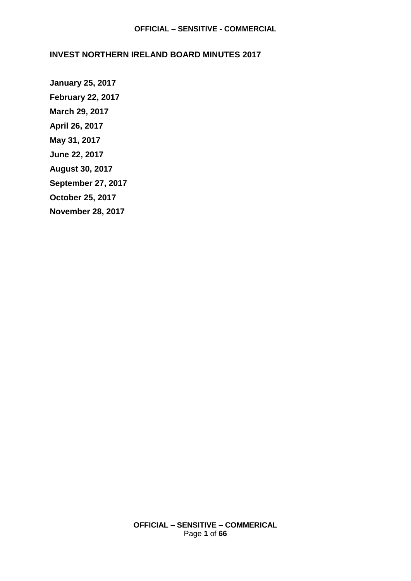## **INVEST NORTHERN IRELAND BOARD MINUTES 2017**

**[January 25, 2017](#page-1-0) [February 22, 2017](#page-6-0) [March 29, 2017](#page-11-0) [April 26, 2017](#page-16-0) [May 31, 2017](#page-21-0) [June 22, 2017](#page-28-0) [August 30,](#page-35-0) 2017 [September 27, 2017](#page-42-0) [October 25,](#page-50-0) 2017 [November 28, 2017](#page-58-0)**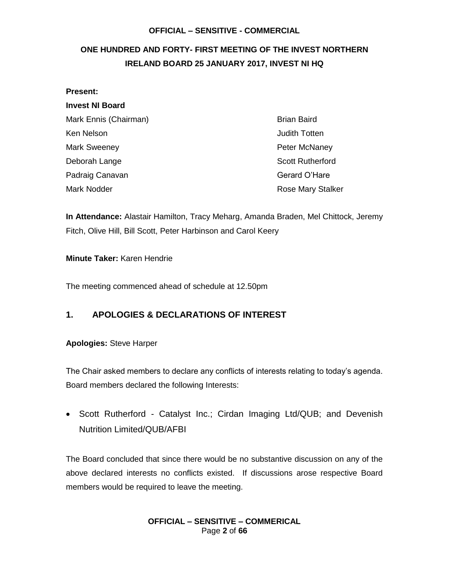## <span id="page-1-0"></span>**ONE HUNDRED AND FORTY- FIRST MEETING OF THE INVEST NORTHERN IRELAND BOARD 25 JANUARY 2017, INVEST NI HQ**

## **Present: Invest NI Board** Mark Ennis (Chairman) Brian Baird Ken Nelson **Accord Contract Contract Contract Contract Contract Contract Contract Contract Contract Contract Contract Contract Contract Contract Contract Contract Contract Contract Contract Contract Contract Contract Contr** Mark Sweeney **Peter McNaney Peter McNaney** Deborah Lange Scott Rutherford Padraig Canavan Gerard O'Hare Mark Nodder **Mark Note Accord Provider** Rose Mary Stalker

**In Attendance:** Alastair Hamilton, Tracy Meharg, Amanda Braden, Mel Chittock, Jeremy Fitch, Olive Hill, Bill Scott, Peter Harbinson and Carol Keery

#### **Minute Taker:** Karen Hendrie

The meeting commenced ahead of schedule at 12.50pm

#### **1. APOLOGIES & DECLARATIONS OF INTEREST**

#### **Apologies:** Steve Harper

The Chair asked members to declare any conflicts of interests relating to today's agenda. Board members declared the following Interests:

• Scott Rutherford - Catalyst Inc.; Cirdan Imaging Ltd/QUB; and Devenish Nutrition Limited/QUB/AFBI

The Board concluded that since there would be no substantive discussion on any of the above declared interests no conflicts existed. If discussions arose respective Board members would be required to leave the meeting.

#### **OFFICIAL – SENSITIVE – COMMERICAL** Page **2** of **66**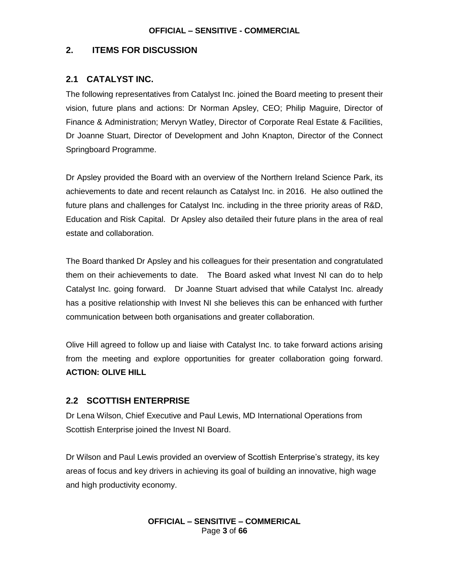## **2. ITEMS FOR DISCUSSION**

#### **2.1 CATALYST INC.**

The following representatives from Catalyst Inc. joined the Board meeting to present their vision, future plans and actions: Dr Norman Apsley, CEO; Philip Maguire, Director of Finance & Administration; Mervyn Watley, Director of Corporate Real Estate & Facilities, Dr Joanne Stuart, Director of Development and John Knapton, Director of the Connect Springboard Programme.

Dr Apsley provided the Board with an overview of the Northern Ireland Science Park, its achievements to date and recent relaunch as Catalyst Inc. in 2016. He also outlined the future plans and challenges for Catalyst Inc. including in the three priority areas of R&D, Education and Risk Capital. Dr Apsley also detailed their future plans in the area of real estate and collaboration.

The Board thanked Dr Apsley and his colleagues for their presentation and congratulated them on their achievements to date. The Board asked what Invest NI can do to help Catalyst Inc. going forward. Dr Joanne Stuart advised that while Catalyst Inc. already has a positive relationship with Invest NI she believes this can be enhanced with further communication between both organisations and greater collaboration.

Olive Hill agreed to follow up and liaise with Catalyst Inc. to take forward actions arising from the meeting and explore opportunities for greater collaboration going forward. **ACTION: OLIVE HILL**

#### **2.2 SCOTTISH ENTERPRISE**

Dr Lena Wilson, Chief Executive and Paul Lewis, MD International Operations from Scottish Enterprise joined the Invest NI Board.

Dr Wilson and Paul Lewis provided an overview of Scottish Enterprise's strategy, its key areas of focus and key drivers in achieving its goal of building an innovative, high wage and high productivity economy.

#### **OFFICIAL – SENSITIVE – COMMERICAL** Page **3** of **66**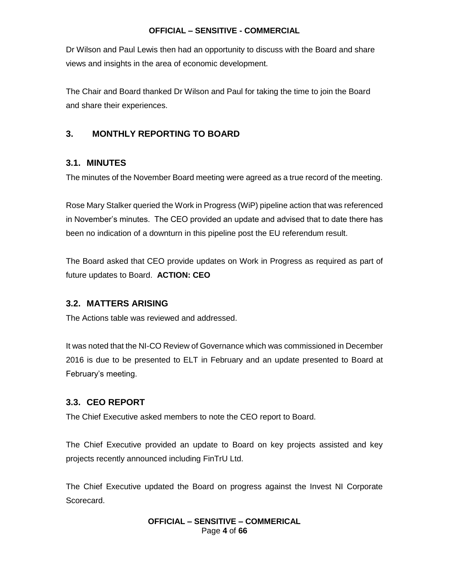Dr Wilson and Paul Lewis then had an opportunity to discuss with the Board and share views and insights in the area of economic development.

The Chair and Board thanked Dr Wilson and Paul for taking the time to join the Board and share their experiences.

## **3. MONTHLY REPORTING TO BOARD**

#### **3.1. MINUTES**

The minutes of the November Board meeting were agreed as a true record of the meeting.

Rose Mary Stalker queried the Work in Progress (WiP) pipeline action that was referenced in November's minutes. The CEO provided an update and advised that to date there has been no indication of a downturn in this pipeline post the EU referendum result.

The Board asked that CEO provide updates on Work in Progress as required as part of future updates to Board. **ACTION: CEO**

#### **3.2. MATTERS ARISING**

The Actions table was reviewed and addressed.

It was noted that the NI-CO Review of Governance which was commissioned in December 2016 is due to be presented to ELT in February and an update presented to Board at February's meeting.

#### **3.3. CEO REPORT**

The Chief Executive asked members to note the CEO report to Board.

The Chief Executive provided an update to Board on key projects assisted and key projects recently announced including FinTrU Ltd.

The Chief Executive updated the Board on progress against the Invest NI Corporate Scorecard.

#### **OFFICIAL – SENSITIVE – COMMERICAL** Page **4** of **66**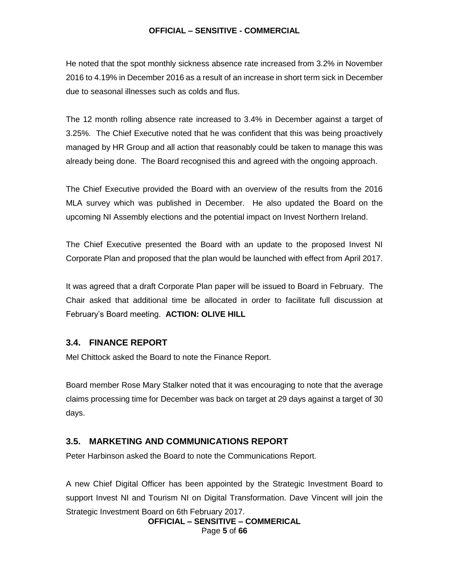He noted that the spot monthly sickness absence rate increased from 3.2% in November 2016 to 4.19% in December 2016 as a result of an increase in short term sick in December due to seasonal illnesses such as colds and flus.

The 12 month rolling absence rate increased to 3.4% in December against a target of 3.25%. The Chief Executive noted that he was confident that this was being proactively managed by HR Group and all action that reasonably could be taken to manage this was already being done. The Board recognised this and agreed with the ongoing approach.

The Chief Executive provided the Board with an overview of the results from the 2016 MLA survey which was published in December. He also updated the Board on the upcoming NI Assembly elections and the potential impact on Invest Northern Ireland.

The Chief Executive presented the Board with an update to the proposed Invest NI Corporate Plan and proposed that the plan would be launched with effect from April 2017.

It was agreed that a draft Corporate Plan paper will be issued to Board in February. The Chair asked that additional time be allocated in order to facilitate full discussion at February's Board meeting. **ACTION: OLIVE HILL**

#### **3.4. FINANCE REPORT**

Mel Chittock asked the Board to note the Finance Report.

Board member Rose Mary Stalker noted that it was encouraging to note that the average claims processing time for December was back on target at 29 days against a target of 30 days.

#### **3.5. MARKETING AND COMMUNICATIONS REPORT**

Peter Harbinson asked the Board to note the Communications Report.

A new Chief Digital Officer has been appointed by the Strategic Investment Board to support Invest NI and Tourism NI on Digital Transformation. Dave Vincent will join the Strategic Investment Board on 6th February 2017.

> **OFFICIAL – SENSITIVE – COMMERICAL** Page **5** of **66**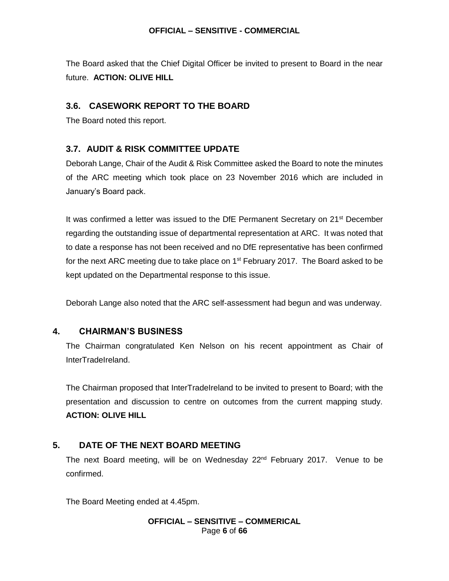The Board asked that the Chief Digital Officer be invited to present to Board in the near future. **ACTION: OLIVE HILL**

## **3.6. CASEWORK REPORT TO THE BOARD**

The Board noted this report.

## **3.7. AUDIT & RISK COMMITTEE UPDATE**

Deborah Lange, Chair of the Audit & Risk Committee asked the Board to note the minutes of the ARC meeting which took place on 23 November 2016 which are included in January's Board pack.

It was confirmed a letter was issued to the DfE Permanent Secretary on 21<sup>st</sup> December regarding the outstanding issue of departmental representation at ARC. It was noted that to date a response has not been received and no DfE representative has been confirmed for the next ARC meeting due to take place on  $1<sup>st</sup>$  February 2017. The Board asked to be kept updated on the Departmental response to this issue.

Deborah Lange also noted that the ARC self-assessment had begun and was underway.

#### **4. CHAIRMAN'S BUSINESS**

The Chairman congratulated Ken Nelson on his recent appointment as Chair of InterTradeIreland.

The Chairman proposed that InterTradeIreland to be invited to present to Board; with the presentation and discussion to centre on outcomes from the current mapping study. **ACTION: OLIVE HILL**

#### **5. DATE OF THE NEXT BOARD MEETING**

The next Board meeting, will be on Wednesday 22<sup>nd</sup> February 2017. Venue to be confirmed.

The Board Meeting ended at 4.45pm.

**OFFICIAL – SENSITIVE – COMMERICAL** Page **6** of **66**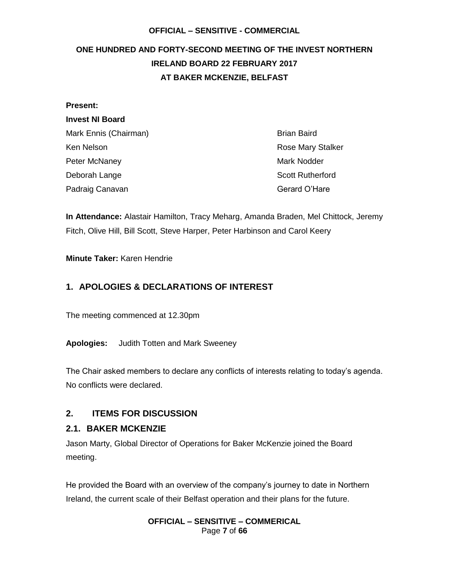## <span id="page-6-0"></span>**ONE HUNDRED AND FORTY-SECOND MEETING OF THE INVEST NORTHERN IRELAND BOARD 22 FEBRUARY 2017 AT BAKER MCKENZIE, BELFAST**

| Present:               |                          |
|------------------------|--------------------------|
| <b>Invest NI Board</b> |                          |
| Mark Ennis (Chairman)  | <b>Brian Baird</b>       |
| Ken Nelson             | <b>Rose Mary Stalker</b> |
| Peter McNaney          | <b>Mark Nodder</b>       |
| Deborah Lange          | <b>Scott Rutherford</b>  |
| Padraig Canavan        | Gerard O'Hare            |

**In Attendance:** Alastair Hamilton, Tracy Meharg, Amanda Braden, Mel Chittock, Jeremy Fitch, Olive Hill, Bill Scott, Steve Harper, Peter Harbinson and Carol Keery

**Minute Taker:** Karen Hendrie

## **1. APOLOGIES & DECLARATIONS OF INTEREST**

The meeting commenced at 12.30pm

**Apologies:** Judith Totten and Mark Sweeney

The Chair asked members to declare any conflicts of interests relating to today's agenda. No conflicts were declared.

#### **2. ITEMS FOR DISCUSSION**

#### **2.1. BAKER MCKENZIE**

Jason Marty, Global Director of Operations for Baker McKenzie joined the Board meeting.

He provided the Board with an overview of the company's journey to date in Northern Ireland, the current scale of their Belfast operation and their plans for the future.

#### **OFFICIAL – SENSITIVE – COMMERICAL** Page **7** of **66**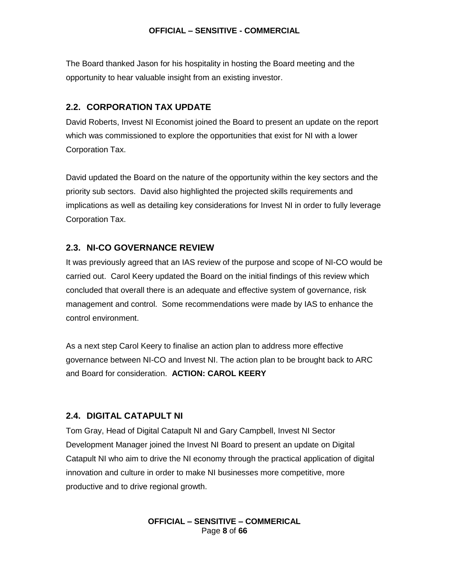The Board thanked Jason for his hospitality in hosting the Board meeting and the opportunity to hear valuable insight from an existing investor.

## **2.2. CORPORATION TAX UPDATE**

David Roberts, Invest NI Economist joined the Board to present an update on the report which was commissioned to explore the opportunities that exist for NI with a lower Corporation Tax.

David updated the Board on the nature of the opportunity within the key sectors and the priority sub sectors. David also highlighted the projected skills requirements and implications as well as detailing key considerations for Invest NI in order to fully leverage Corporation Tax.

#### **2.3. NI-CO GOVERNANCE REVIEW**

It was previously agreed that an IAS review of the purpose and scope of NI-CO would be carried out. Carol Keery updated the Board on the initial findings of this review which concluded that overall there is an adequate and effective system of governance, risk management and control. Some recommendations were made by IAS to enhance the control environment.

As a next step Carol Keery to finalise an action plan to address more effective governance between NI-CO and Invest NI. The action plan to be brought back to ARC and Board for consideration. **ACTION: CAROL KEERY**

#### **2.4. DIGITAL CATAPULT NI**

Tom Gray, Head of Digital Catapult NI and Gary Campbell, Invest NI Sector Development Manager joined the Invest NI Board to present an update on Digital Catapult NI who aim to drive the NI economy through the practical application of digital innovation and culture in order to make NI businesses more competitive, more productive and to drive regional growth.

> **OFFICIAL – SENSITIVE – COMMERICAL** Page **8** of **66**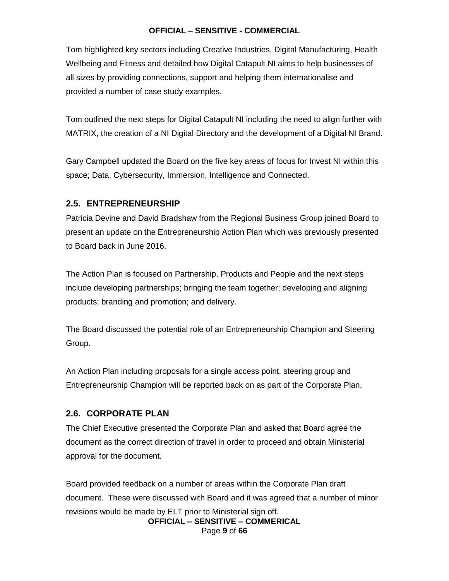Tom highlighted key sectors including Creative Industries, Digital Manufacturing, Health Wellbeing and Fitness and detailed how Digital Catapult NI aims to help businesses of all sizes by providing connections, support and helping them internationalise and provided a number of case study examples.

Tom outlined the next steps for Digital Catapult NI including the need to align further with MATRIX, the creation of a NI Digital Directory and the development of a Digital NI Brand.

Gary Campbell updated the Board on the five key areas of focus for Invest NI within this space; Data, Cybersecurity, Immersion, Intelligence and Connected.

## **2.5. ENTREPRENEURSHIP**

Patricia Devine and David Bradshaw from the Regional Business Group joined Board to present an update on the Entrepreneurship Action Plan which was previously presented to Board back in June 2016.

The Action Plan is focused on Partnership, Products and People and the next steps include developing partnerships; bringing the team together; developing and aligning products; branding and promotion; and delivery.

The Board discussed the potential role of an Entrepreneurship Champion and Steering Group.

An Action Plan including proposals for a single access point, steering group and Entrepreneurship Champion will be reported back on as part of the Corporate Plan.

## **2.6. CORPORATE PLAN**

The Chief Executive presented the Corporate Plan and asked that Board agree the document as the correct direction of travel in order to proceed and obtain Ministerial approval for the document.

**OFFICIAL – SENSITIVE – COMMERICAL** Board provided feedback on a number of areas within the Corporate Plan draft document. These were discussed with Board and it was agreed that a number of minor revisions would be made by ELT prior to Ministerial sign off.

Page **9** of **66**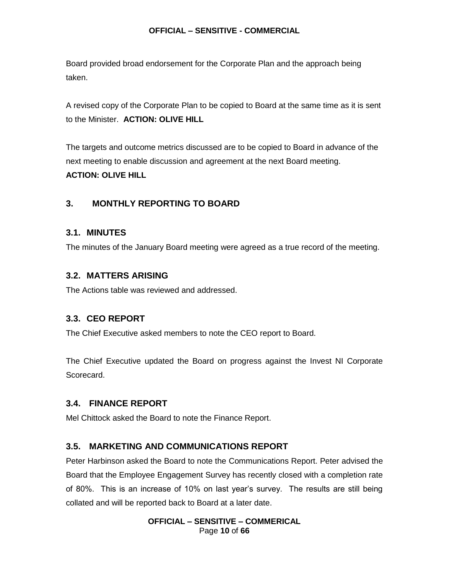Board provided broad endorsement for the Corporate Plan and the approach being taken.

A revised copy of the Corporate Plan to be copied to Board at the same time as it is sent to the Minister. **ACTION: OLIVE HILL**

The targets and outcome metrics discussed are to be copied to Board in advance of the next meeting to enable discussion and agreement at the next Board meeting. **ACTION: OLIVE HILL**

## **3. MONTHLY REPORTING TO BOARD**

#### **3.1. MINUTES**

The minutes of the January Board meeting were agreed as a true record of the meeting.

#### **3.2. MATTERS ARISING**

The Actions table was reviewed and addressed.

#### **3.3. CEO REPORT**

The Chief Executive asked members to note the CEO report to Board.

The Chief Executive updated the Board on progress against the Invest NI Corporate Scorecard.

#### **3.4. FINANCE REPORT**

Mel Chittock asked the Board to note the Finance Report.

#### **3.5. MARKETING AND COMMUNICATIONS REPORT**

Peter Harbinson asked the Board to note the Communications Report. Peter advised the Board that the Employee Engagement Survey has recently closed with a completion rate of 80%. This is an increase of 10% on last year's survey. The results are still being collated and will be reported back to Board at a later date.

#### **OFFICIAL – SENSITIVE – COMMERICAL** Page **10** of **66**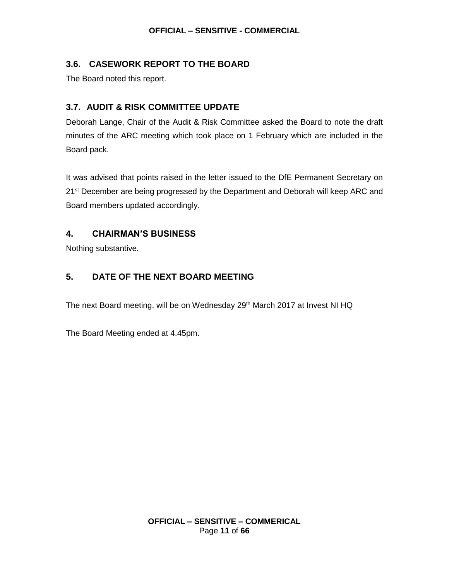#### **3.6. CASEWORK REPORT TO THE BOARD**

The Board noted this report.

## **3.7. AUDIT & RISK COMMITTEE UPDATE**

Deborah Lange, Chair of the Audit & Risk Committee asked the Board to note the draft minutes of the ARC meeting which took place on 1 February which are included in the Board pack.

It was advised that points raised in the letter issued to the DfE Permanent Secretary on 21<sup>st</sup> December are being progressed by the Department and Deborah will keep ARC and Board members updated accordingly.

## **4. CHAIRMAN'S BUSINESS**

Nothing substantive.

## **5. DATE OF THE NEXT BOARD MEETING**

The next Board meeting, will be on Wednesday 29<sup>th</sup> March 2017 at Invest NI HQ

The Board Meeting ended at 4.45pm.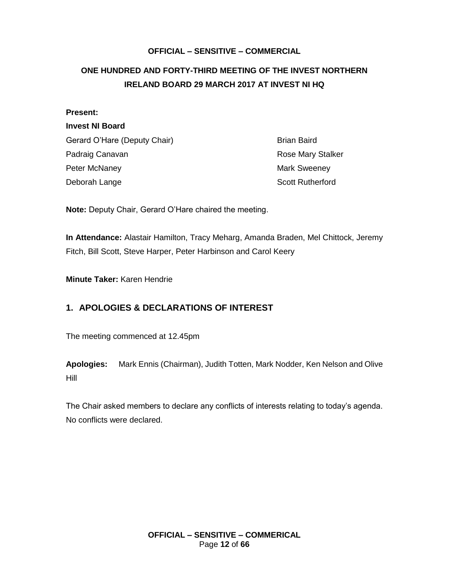## <span id="page-11-0"></span>**ONE HUNDRED AND FORTY-THIRD MEETING OF THE INVEST NORTHERN IRELAND BOARD 29 MARCH 2017 AT INVEST NI HQ**

| <b>Present:</b>              |                          |
|------------------------------|--------------------------|
| <b>Invest NI Board</b>       |                          |
| Gerard O'Hare (Deputy Chair) | <b>Brian Baird</b>       |
| Padraig Canavan              | <b>Rose Mary Stalker</b> |
| Peter McNaney                | <b>Mark Sweeney</b>      |
| Deborah Lange                | <b>Scott Rutherford</b>  |

**Note:** Deputy Chair, Gerard O'Hare chaired the meeting.

**In Attendance:** Alastair Hamilton, Tracy Meharg, Amanda Braden, Mel Chittock, Jeremy Fitch, Bill Scott, Steve Harper, Peter Harbinson and Carol Keery

**Minute Taker:** Karen Hendrie

## **1. APOLOGIES & DECLARATIONS OF INTEREST**

The meeting commenced at 12.45pm

**Apologies:** Mark Ennis (Chairman), Judith Totten, Mark Nodder, Ken Nelson and Olive Hill

The Chair asked members to declare any conflicts of interests relating to today's agenda. No conflicts were declared.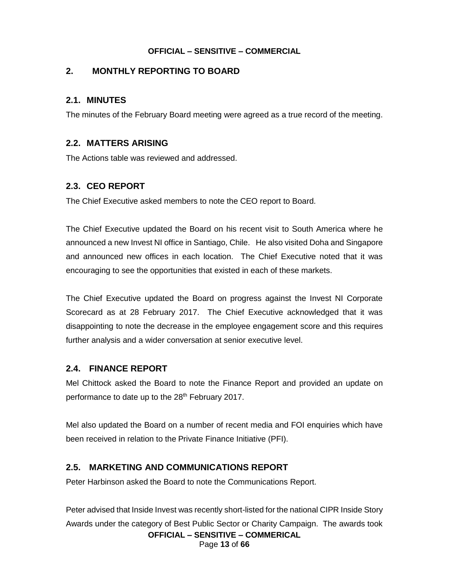## **2. MONTHLY REPORTING TO BOARD**

## **2.1. MINUTES**

The minutes of the February Board meeting were agreed as a true record of the meeting.

## **2.2. MATTERS ARISING**

The Actions table was reviewed and addressed.

## **2.3. CEO REPORT**

The Chief Executive asked members to note the CEO report to Board.

The Chief Executive updated the Board on his recent visit to South America where he announced a new Invest NI office in Santiago, Chile. He also visited Doha and Singapore and announced new offices in each location. The Chief Executive noted that it was encouraging to see the opportunities that existed in each of these markets.

The Chief Executive updated the Board on progress against the Invest NI Corporate Scorecard as at 28 February 2017. The Chief Executive acknowledged that it was disappointing to note the decrease in the employee engagement score and this requires further analysis and a wider conversation at senior executive level.

#### **2.4. FINANCE REPORT**

Mel Chittock asked the Board to note the Finance Report and provided an update on performance to date up to the 28<sup>th</sup> February 2017.

Mel also updated the Board on a number of recent media and FOI enquiries which have been received in relation to the Private Finance Initiative (PFI).

## **2.5. MARKETING AND COMMUNICATIONS REPORT**

Peter Harbinson asked the Board to note the Communications Report.

Peter advised that Inside Invest was recently short-listed for the national CIPR Inside Story Awards under the category of Best Public Sector or Charity Campaign. The awards took

**OFFICIAL – SENSITIVE – COMMERICAL** Page **13** of **66**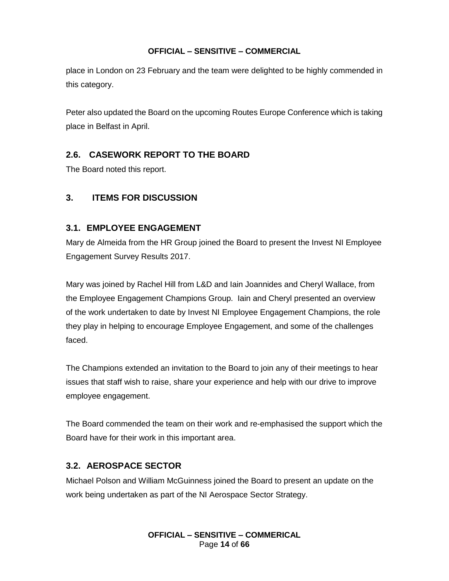place in London on 23 February and the team were delighted to be highly commended in this category.

Peter also updated the Board on the upcoming Routes Europe Conference which is taking place in Belfast in April.

## **2.6. CASEWORK REPORT TO THE BOARD**

The Board noted this report.

## **3. ITEMS FOR DISCUSSION**

## **3.1. EMPLOYEE ENGAGEMENT**

Mary de Almeida from the HR Group joined the Board to present the Invest NI Employee Engagement Survey Results 2017.

Mary was joined by Rachel Hill from L&D and Iain Joannides and Cheryl Wallace, from the Employee Engagement Champions Group. Iain and Cheryl presented an overview of the work undertaken to date by Invest NI Employee Engagement Champions, the role they play in helping to encourage Employee Engagement, and some of the challenges faced.

The Champions extended an invitation to the Board to join any of their meetings to hear issues that staff wish to raise, share your experience and help with our drive to improve employee engagement.

The Board commended the team on their work and re-emphasised the support which the Board have for their work in this important area.

## **3.2. AEROSPACE SECTOR**

Michael Polson and William McGuinness joined the Board to present an update on the work being undertaken as part of the NI Aerospace Sector Strategy.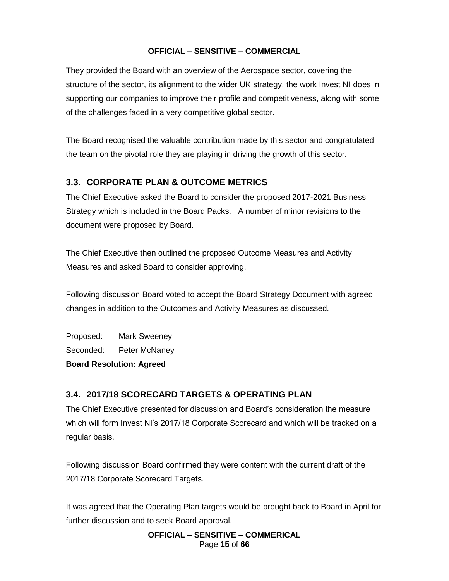They provided the Board with an overview of the Aerospace sector, covering the structure of the sector, its alignment to the wider UK strategy, the work Invest NI does in supporting our companies to improve their profile and competitiveness, along with some of the challenges faced in a very competitive global sector.

The Board recognised the valuable contribution made by this sector and congratulated the team on the pivotal role they are playing in driving the growth of this sector.

## **3.3. CORPORATE PLAN & OUTCOME METRICS**

The Chief Executive asked the Board to consider the proposed 2017-2021 Business Strategy which is included in the Board Packs. A number of minor revisions to the document were proposed by Board.

The Chief Executive then outlined the proposed Outcome Measures and Activity Measures and asked Board to consider approving.

Following discussion Board voted to accept the Board Strategy Document with agreed changes in addition to the Outcomes and Activity Measures as discussed.

Proposed: Mark Sweeney Seconded: Peter McNaney

**Board Resolution: Agreed**

## **3.4. 2017/18 SCORECARD TARGETS & OPERATING PLAN**

The Chief Executive presented for discussion and Board's consideration the measure which will form Invest NI's 2017/18 Corporate Scorecard and which will be tracked on a regular basis.

Following discussion Board confirmed they were content with the current draft of the 2017/18 Corporate Scorecard Targets.

It was agreed that the Operating Plan targets would be brought back to Board in April for further discussion and to seek Board approval.

> **OFFICIAL – SENSITIVE – COMMERICAL** Page **15** of **66**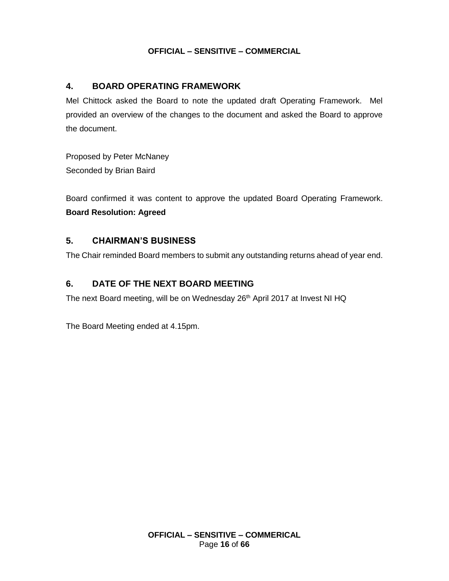## **4. BOARD OPERATING FRAMEWORK**

Mel Chittock asked the Board to note the updated draft Operating Framework. Mel provided an overview of the changes to the document and asked the Board to approve the document.

Proposed by Peter McNaney Seconded by Brian Baird

Board confirmed it was content to approve the updated Board Operating Framework. **Board Resolution: Agreed**

#### **5. CHAIRMAN'S BUSINESS**

The Chair reminded Board members to submit any outstanding returns ahead of year end.

## **6. DATE OF THE NEXT BOARD MEETING**

The next Board meeting, will be on Wednesday 26<sup>th</sup> April 2017 at Invest NI HQ

The Board Meeting ended at 4.15pm.

**OFFICIAL – SENSITIVE – COMMERICAL** Page **16** of **66**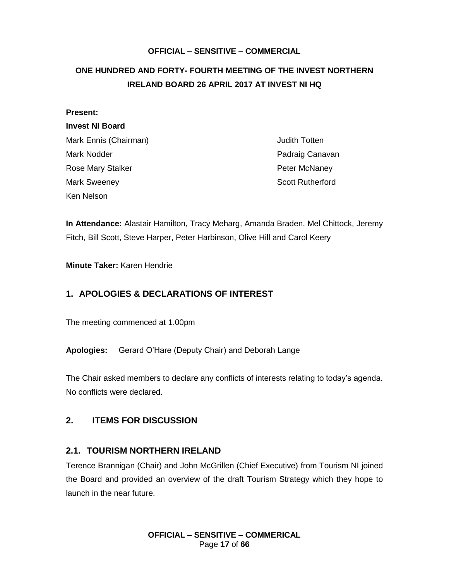## <span id="page-16-0"></span>**ONE HUNDRED AND FORTY- FOURTH MEETING OF THE INVEST NORTHERN IRELAND BOARD 26 APRIL 2017 AT INVEST NI HQ**

| <b>Present:</b>        |                         |
|------------------------|-------------------------|
| <b>Invest NI Board</b> |                         |
| Mark Ennis (Chairman)  | <b>Judith Totten</b>    |
| Mark Nodder            | Padraig Canavan         |
| Rose Mary Stalker      | Peter McNaney           |
| <b>Mark Sweeney</b>    | <b>Scott Rutherford</b> |
| Ken Nelson             |                         |

**In Attendance:** Alastair Hamilton, Tracy Meharg, Amanda Braden, Mel Chittock, Jeremy Fitch, Bill Scott, Steve Harper, Peter Harbinson, Olive Hill and Carol Keery

#### **Minute Taker:** Karen Hendrie

## **1. APOLOGIES & DECLARATIONS OF INTEREST**

The meeting commenced at 1.00pm

**Apologies:** Gerard O'Hare (Deputy Chair) and Deborah Lange

The Chair asked members to declare any conflicts of interests relating to today's agenda. No conflicts were declared.

#### **2. ITEMS FOR DISCUSSION**

#### **2.1. TOURISM NORTHERN IRELAND**

Terence Brannigan (Chair) and John McGrillen (Chief Executive) from Tourism NI joined the Board and provided an overview of the draft Tourism Strategy which they hope to launch in the near future.

> **OFFICIAL – SENSITIVE – COMMERICAL** Page **17** of **66**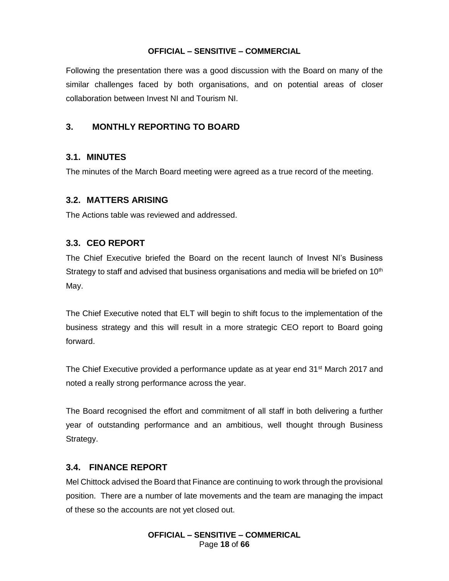Following the presentation there was a good discussion with the Board on many of the similar challenges faced by both organisations, and on potential areas of closer collaboration between Invest NI and Tourism NI.

## **3. MONTHLY REPORTING TO BOARD**

#### **3.1. MINUTES**

The minutes of the March Board meeting were agreed as a true record of the meeting.

#### **3.2. MATTERS ARISING**

The Actions table was reviewed and addressed.

#### **3.3. CEO REPORT**

The Chief Executive briefed the Board on the recent launch of Invest NI's Business Strategy to staff and advised that business organisations and media will be briefed on  $10<sup>th</sup>$ May.

The Chief Executive noted that ELT will begin to shift focus to the implementation of the business strategy and this will result in a more strategic CEO report to Board going forward.

The Chief Executive provided a performance update as at year end 31<sup>st</sup> March 2017 and noted a really strong performance across the year.

The Board recognised the effort and commitment of all staff in both delivering a further year of outstanding performance and an ambitious, well thought through Business Strategy.

#### **3.4. FINANCE REPORT**

Mel Chittock advised the Board that Finance are continuing to work through the provisional position. There are a number of late movements and the team are managing the impact of these so the accounts are not yet closed out.

> **OFFICIAL – SENSITIVE – COMMERICAL** Page **18** of **66**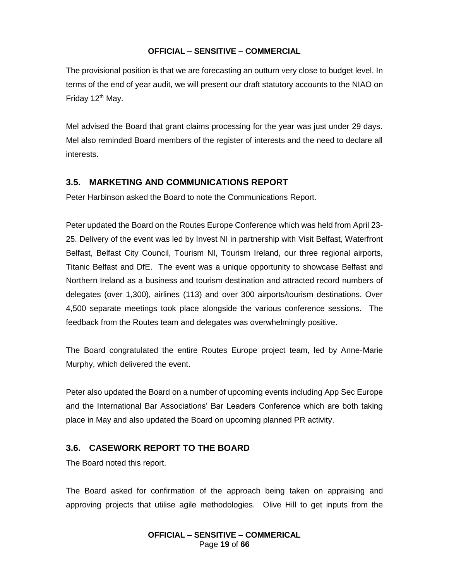The provisional position is that we are forecasting an outturn very close to budget level. In terms of the end of year audit, we will present our draft statutory accounts to the NIAO on Friday 12<sup>th</sup> May.

Mel advised the Board that grant claims processing for the year was just under 29 days. Mel also reminded Board members of the register of interests and the need to declare all interests.

## **3.5. MARKETING AND COMMUNICATIONS REPORT**

Peter Harbinson asked the Board to note the Communications Report.

Peter updated the Board on the Routes Europe Conference which was held from April 23- 25. Delivery of the event was led by Invest NI in partnership with Visit Belfast, Waterfront Belfast, Belfast City Council, Tourism NI, Tourism Ireland, our three regional airports, Titanic Belfast and DfE. The event was a unique opportunity to showcase Belfast and Northern Ireland as a business and tourism destination and attracted record numbers of delegates (over 1,300), airlines (113) and over 300 airports/tourism destinations. Over 4,500 separate meetings took place alongside the various conference sessions. The feedback from the Routes team and delegates was overwhelmingly positive.

The Board congratulated the entire Routes Europe project team, led by Anne-Marie Murphy, which delivered the event.

Peter also updated the Board on a number of upcoming events including App Sec Europe and the International Bar Associations' Bar Leaders Conference which are both taking place in May and also updated the Board on upcoming planned PR activity.

## **3.6. CASEWORK REPORT TO THE BOARD**

The Board noted this report.

The Board asked for confirmation of the approach being taken on appraising and approving projects that utilise agile methodologies. Olive Hill to get inputs from the

> **OFFICIAL – SENSITIVE – COMMERICAL** Page **19** of **66**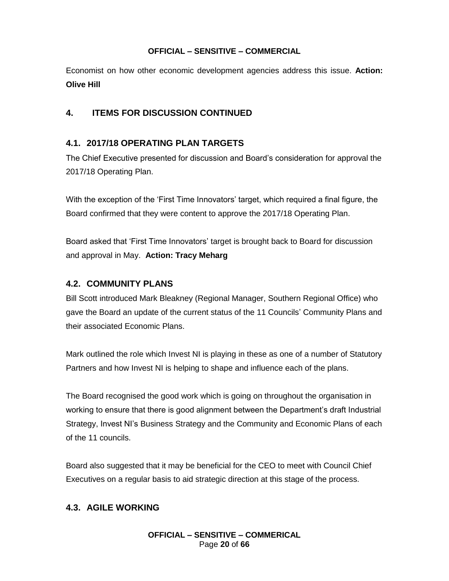Economist on how other economic development agencies address this issue. **Action: Olive Hill**

## **4. ITEMS FOR DISCUSSION CONTINUED**

## **4.1. 2017/18 OPERATING PLAN TARGETS**

The Chief Executive presented for discussion and Board's consideration for approval the 2017/18 Operating Plan.

With the exception of the 'First Time Innovators' target, which required a final figure, the Board confirmed that they were content to approve the 2017/18 Operating Plan.

Board asked that 'First Time Innovators' target is brought back to Board for discussion and approval in May. **Action: Tracy Meharg**

## **4.2. COMMUNITY PLANS**

Bill Scott introduced Mark Bleakney (Regional Manager, Southern Regional Office) who gave the Board an update of the current status of the 11 Councils' Community Plans and their associated Economic Plans.

Mark outlined the role which Invest NI is playing in these as one of a number of Statutory Partners and how Invest NI is helping to shape and influence each of the plans.

The Board recognised the good work which is going on throughout the organisation in working to ensure that there is good alignment between the Department's draft Industrial Strategy, Invest NI's Business Strategy and the Community and Economic Plans of each of the 11 councils.

Board also suggested that it may be beneficial for the CEO to meet with Council Chief Executives on a regular basis to aid strategic direction at this stage of the process.

## **4.3. AGILE WORKING**

**OFFICIAL – SENSITIVE – COMMERICAL** Page **20** of **66**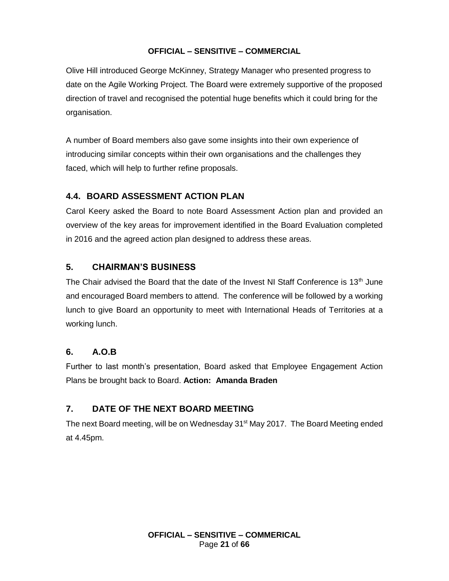Olive Hill introduced George McKinney, Strategy Manager who presented progress to date on the Agile Working Project. The Board were extremely supportive of the proposed direction of travel and recognised the potential huge benefits which it could bring for the organisation.

A number of Board members also gave some insights into their own experience of introducing similar concepts within their own organisations and the challenges they faced, which will help to further refine proposals.

## **4.4. BOARD ASSESSMENT ACTION PLAN**

Carol Keery asked the Board to note Board Assessment Action plan and provided an overview of the key areas for improvement identified in the Board Evaluation completed in 2016 and the agreed action plan designed to address these areas.

## **5. CHAIRMAN'S BUSINESS**

The Chair advised the Board that the date of the Invest NI Staff Conference is 13<sup>th</sup> June and encouraged Board members to attend. The conference will be followed by a working lunch to give Board an opportunity to meet with International Heads of Territories at a working lunch.

## **6. A.O.B**

Further to last month's presentation, Board asked that Employee Engagement Action Plans be brought back to Board. **Action: Amanda Braden**

## **7. DATE OF THE NEXT BOARD MEETING**

The next Board meeting, will be on Wednesday 31<sup>st</sup> May 2017. The Board Meeting ended at 4.45pm.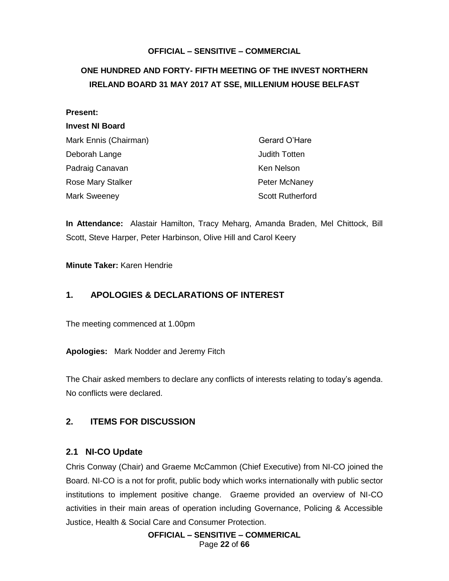## <span id="page-21-0"></span>**ONE HUNDRED AND FORTY- FIFTH MEETING OF THE INVEST NORTHERN IRELAND BOARD 31 MAY 2017 AT SSE, MILLENIUM HOUSE BELFAST**

| <b>Present:</b>          |                         |
|--------------------------|-------------------------|
| <b>Invest NI Board</b>   |                         |
| Mark Ennis (Chairman)    | Gerard O'Hare           |
| Deborah Lange            | Judith Totten           |
| Padraig Canavan          | Ken Nelson              |
| <b>Rose Mary Stalker</b> | Peter McNaney           |
| Mark Sweeney             | <b>Scott Rutherford</b> |

**In Attendance:** Alastair Hamilton, Tracy Meharg, Amanda Braden, Mel Chittock, Bill Scott, Steve Harper, Peter Harbinson, Olive Hill and Carol Keery

#### **Minute Taker:** Karen Hendrie

## **1. APOLOGIES & DECLARATIONS OF INTEREST**

The meeting commenced at 1.00pm

**Apologies:** Mark Nodder and Jeremy Fitch

The Chair asked members to declare any conflicts of interests relating to today's agenda. No conflicts were declared.

## **2. ITEMS FOR DISCUSSION**

#### **2.1 NI-CO Update**

Chris Conway (Chair) and Graeme McCammon (Chief Executive) from NI-CO joined the Board. NI-CO is a not for profit, public body which works internationally with public sector institutions to implement positive change. Graeme provided an overview of NI-CO activities in their main areas of operation including Governance, Policing & Accessible Justice, Health & Social Care and Consumer Protection.

> **OFFICIAL – SENSITIVE – COMMERICAL** Page **22** of **66**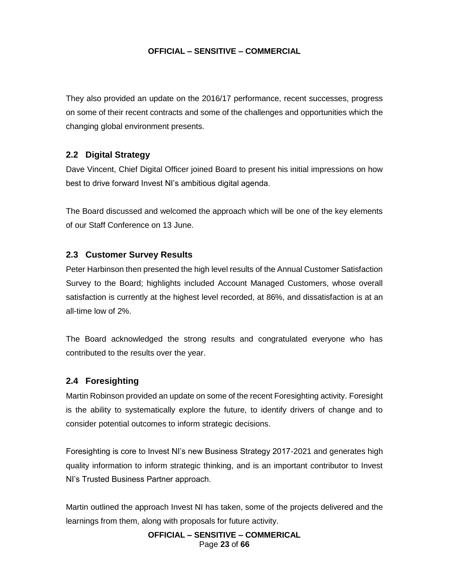They also provided an update on the 2016/17 performance, recent successes, progress on some of their recent contracts and some of the challenges and opportunities which the changing global environment presents.

## **2.2 Digital Strategy**

Dave Vincent, Chief Digital Officer joined Board to present his initial impressions on how best to drive forward Invest NI's ambitious digital agenda.

The Board discussed and welcomed the approach which will be one of the key elements of our Staff Conference on 13 June.

#### **2.3 Customer Survey Results**

Peter Harbinson then presented the high level results of the Annual Customer Satisfaction Survey to the Board; highlights included Account Managed Customers, whose overall satisfaction is currently at the highest level recorded, at 86%, and dissatisfaction is at an all-time low of 2%.

The Board acknowledged the strong results and congratulated everyone who has contributed to the results over the year.

#### **2.4 Foresighting**

Martin Robinson provided an update on some of the recent Foresighting activity. Foresight is the ability to systematically explore the future, to identify drivers of change and to consider potential outcomes to inform strategic decisions.

Foresighting is core to Invest NI's new Business Strategy 2017-2021 and generates high quality information to inform strategic thinking, and is an important contributor to Invest NI's Trusted Business Partner approach.

Martin outlined the approach Invest NI has taken, some of the projects delivered and the learnings from them, along with proposals for future activity.

> **OFFICIAL – SENSITIVE – COMMERICAL** Page **23** of **66**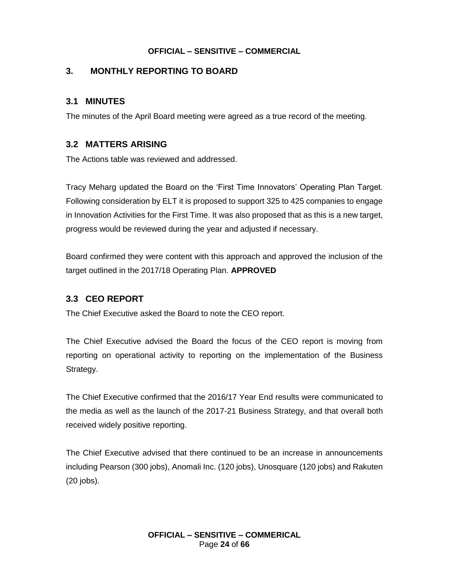## **3. MONTHLY REPORTING TO BOARD**

## **3.1 MINUTES**

The minutes of the April Board meeting were agreed as a true record of the meeting.

## **3.2 MATTERS ARISING**

The Actions table was reviewed and addressed.

Tracy Meharg updated the Board on the 'First Time Innovators' Operating Plan Target. Following consideration by ELT it is proposed to support 325 to 425 companies to engage in Innovation Activities for the First Time. It was also proposed that as this is a new target, progress would be reviewed during the year and adjusted if necessary.

Board confirmed they were content with this approach and approved the inclusion of the target outlined in the 2017/18 Operating Plan. **APPROVED**

## **3.3 CEO REPORT**

The Chief Executive asked the Board to note the CEO report.

The Chief Executive advised the Board the focus of the CEO report is moving from reporting on operational activity to reporting on the implementation of the Business Strategy.

The Chief Executive confirmed that the 2016/17 Year End results were communicated to the media as well as the launch of the 2017-21 Business Strategy, and that overall both received widely positive reporting.

The Chief Executive advised that there continued to be an increase in announcements including Pearson (300 jobs), Anomali Inc. (120 jobs), Unosquare (120 jobs) and Rakuten (20 jobs).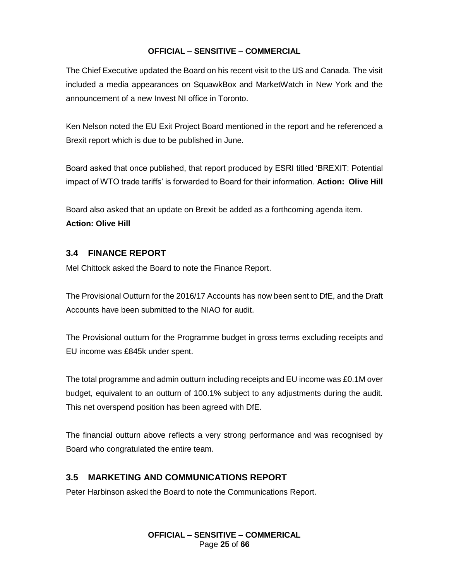The Chief Executive updated the Board on his recent visit to the US and Canada. The visit included a media appearances on SquawkBox and MarketWatch in New York and the announcement of a new Invest NI office in Toronto.

Ken Nelson noted the EU Exit Project Board mentioned in the report and he referenced a Brexit report which is due to be published in June.

Board asked that once published, that report produced by ESRI titled 'BREXIT: Potential impact of WTO trade tariffs' is forwarded to Board for their information. **Action: Olive Hill**

Board also asked that an update on Brexit be added as a forthcoming agenda item. **Action: Olive Hill**

## **3.4 FINANCE REPORT**

Mel Chittock asked the Board to note the Finance Report.

The Provisional Outturn for the 2016/17 Accounts has now been sent to DfE, and the Draft Accounts have been submitted to the NIAO for audit.

The Provisional outturn for the Programme budget in gross terms excluding receipts and EU income was £845k under spent.

The total programme and admin outturn including receipts and EU income was £0.1M over budget, equivalent to an outturn of 100.1% subject to any adjustments during the audit. This net overspend position has been agreed with DfE.

The financial outturn above reflects a very strong performance and was recognised by Board who congratulated the entire team.

## **3.5 MARKETING AND COMMUNICATIONS REPORT**

Peter Harbinson asked the Board to note the Communications Report.

**OFFICIAL – SENSITIVE – COMMERICAL** Page **25** of **66**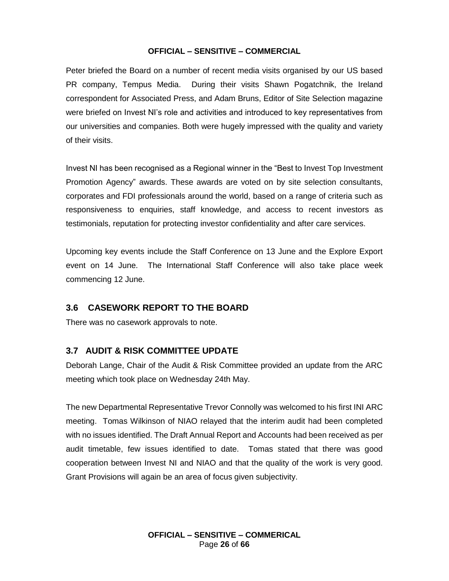Peter briefed the Board on a number of recent media visits organised by our US based PR company, Tempus Media. During their visits Shawn Pogatchnik, the Ireland correspondent for Associated Press, and Adam Bruns, Editor of Site Selection magazine were briefed on Invest NI's role and activities and introduced to key representatives from our universities and companies. Both were hugely impressed with the quality and variety of their visits.

Invest NI has been recognised as a Regional winner in the "Best to Invest Top Investment Promotion Agency" awards. These awards are voted on by site selection consultants, corporates and FDI professionals around the world, based on a range of criteria such as responsiveness to enquiries, staff knowledge, and access to recent investors as testimonials, reputation for protecting investor confidentiality and after care services.

Upcoming key events include the Staff Conference on 13 June and the Explore Export event on 14 June. The International Staff Conference will also take place week commencing 12 June.

## **3.6 CASEWORK REPORT TO THE BOARD**

There was no casework approvals to note.

#### **3.7 AUDIT & RISK COMMITTEE UPDATE**

Deborah Lange, Chair of the Audit & Risk Committee provided an update from the ARC meeting which took place on Wednesday 24th May.

The new Departmental Representative Trevor Connolly was welcomed to his first INI ARC meeting. Tomas Wilkinson of NIAO relayed that the interim audit had been completed with no issues identified. The Draft Annual Report and Accounts had been received as per audit timetable, few issues identified to date. Tomas stated that there was good cooperation between Invest NI and NIAO and that the quality of the work is very good. Grant Provisions will again be an area of focus given subjectivity.

> **OFFICIAL – SENSITIVE – COMMERICAL** Page **26** of **66**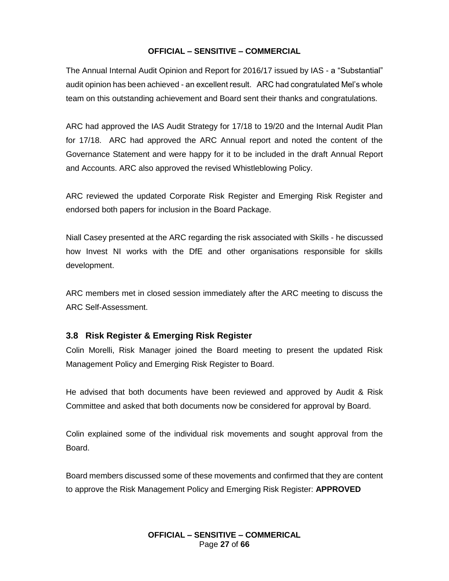The Annual Internal Audit Opinion and Report for 2016/17 issued by IAS - a "Substantial" audit opinion has been achieved - an excellent result. ARC had congratulated Mel's whole team on this outstanding achievement and Board sent their thanks and congratulations.

ARC had approved the IAS Audit Strategy for 17/18 to 19/20 and the Internal Audit Plan for 17/18. ARC had approved the ARC Annual report and noted the content of the Governance Statement and were happy for it to be included in the draft Annual Report and Accounts. ARC also approved the revised Whistleblowing Policy.

ARC reviewed the updated Corporate Risk Register and Emerging Risk Register and endorsed both papers for inclusion in the Board Package.

Niall Casey presented at the ARC regarding the risk associated with Skills - he discussed how Invest NI works with the DfE and other organisations responsible for skills development.

ARC members met in closed session immediately after the ARC meeting to discuss the ARC Self-Assessment.

#### **3.8 Risk Register & Emerging Risk Register**

Colin Morelli, Risk Manager joined the Board meeting to present the updated Risk Management Policy and Emerging Risk Register to Board.

He advised that both documents have been reviewed and approved by Audit & Risk Committee and asked that both documents now be considered for approval by Board.

Colin explained some of the individual risk movements and sought approval from the Board.

Board members discussed some of these movements and confirmed that they are content to approve the Risk Management Policy and Emerging Risk Register: **APPROVED**

> **OFFICIAL – SENSITIVE – COMMERICAL** Page **27** of **66**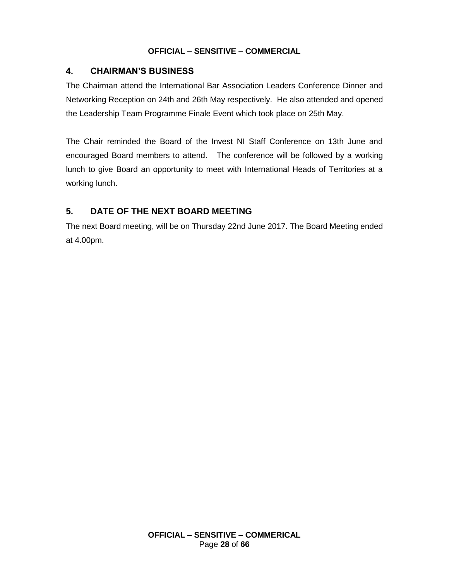## **4. CHAIRMAN'S BUSINESS**

The Chairman attend the International Bar Association Leaders Conference Dinner and Networking Reception on 24th and 26th May respectively. He also attended and opened the Leadership Team Programme Finale Event which took place on 25th May.

The Chair reminded the Board of the Invest NI Staff Conference on 13th June and encouraged Board members to attend. The conference will be followed by a working lunch to give Board an opportunity to meet with International Heads of Territories at a working lunch.

## **5. DATE OF THE NEXT BOARD MEETING**

The next Board meeting, will be on Thursday 22nd June 2017. The Board Meeting ended at 4.00pm.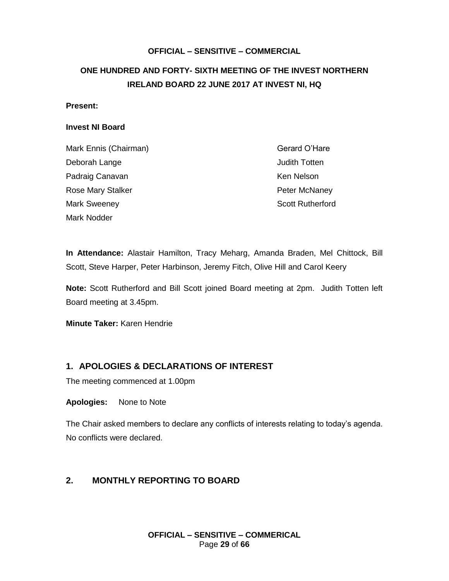## <span id="page-28-0"></span>**ONE HUNDRED AND FORTY- SIXTH MEETING OF THE INVEST NORTHERN IRELAND BOARD 22 JUNE 2017 AT INVEST NI, HQ**

#### **Present:**

#### **Invest NI Board**

| Mark Ennis (Chairman)    | Gerard O'Hare           |
|--------------------------|-------------------------|
| Deborah Lange            | <b>Judith Totten</b>    |
| Padraig Canavan          | Ken Nelson              |
| <b>Rose Mary Stalker</b> | Peter McNaney           |
| <b>Mark Sweeney</b>      | <b>Scott Rutherford</b> |
| Mark Nodder              |                         |

**In Attendance:** Alastair Hamilton, Tracy Meharg, Amanda Braden, Mel Chittock, Bill Scott, Steve Harper, Peter Harbinson, Jeremy Fitch, Olive Hill and Carol Keery

**Note:** Scott Rutherford and Bill Scott joined Board meeting at 2pm. Judith Totten left Board meeting at 3.45pm.

**Minute Taker:** Karen Hendrie

#### **1. APOLOGIES & DECLARATIONS OF INTEREST**

The meeting commenced at 1.00pm

**Apologies:** None to Note

The Chair asked members to declare any conflicts of interests relating to today's agenda. No conflicts were declared.

## **2. MONTHLY REPORTING TO BOARD**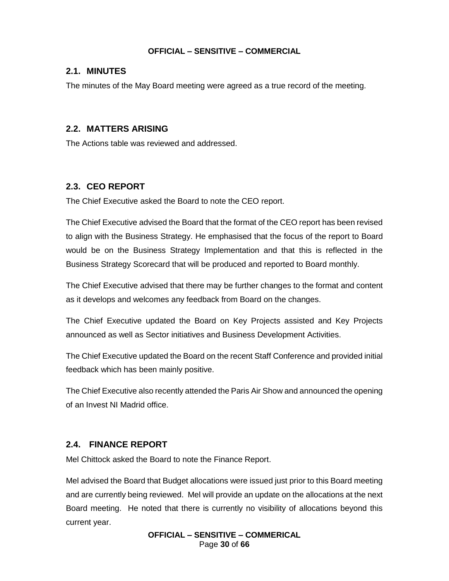#### **2.1. MINUTES**

The minutes of the May Board meeting were agreed as a true record of the meeting.

#### **2.2. MATTERS ARISING**

The Actions table was reviewed and addressed.

#### **2.3. CEO REPORT**

The Chief Executive asked the Board to note the CEO report.

The Chief Executive advised the Board that the format of the CEO report has been revised to align with the Business Strategy. He emphasised that the focus of the report to Board would be on the Business Strategy Implementation and that this is reflected in the Business Strategy Scorecard that will be produced and reported to Board monthly.

The Chief Executive advised that there may be further changes to the format and content as it develops and welcomes any feedback from Board on the changes.

The Chief Executive updated the Board on Key Projects assisted and Key Projects announced as well as Sector initiatives and Business Development Activities.

The Chief Executive updated the Board on the recent Staff Conference and provided initial feedback which has been mainly positive.

The Chief Executive also recently attended the Paris Air Show and announced the opening of an Invest NI Madrid office.

#### **2.4. FINANCE REPORT**

Mel Chittock asked the Board to note the Finance Report.

Mel advised the Board that Budget allocations were issued just prior to this Board meeting and are currently being reviewed. Mel will provide an update on the allocations at the next Board meeting. He noted that there is currently no visibility of allocations beyond this current year.

> **OFFICIAL – SENSITIVE – COMMERICAL** Page **30** of **66**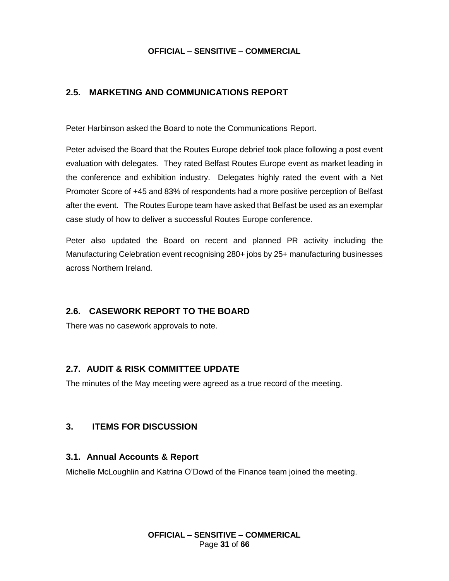## **2.5. MARKETING AND COMMUNICATIONS REPORT**

Peter Harbinson asked the Board to note the Communications Report.

Peter advised the Board that the Routes Europe debrief took place following a post event evaluation with delegates. They rated Belfast Routes Europe event as market leading in the conference and exhibition industry. Delegates highly rated the event with a Net Promoter Score of +45 and 83% of respondents had a more positive perception of Belfast after the event. The Routes Europe team have asked that Belfast be used as an exemplar case study of how to deliver a successful Routes Europe conference.

Peter also updated the Board on recent and planned PR activity including the Manufacturing Celebration event recognising 280+ jobs by 25+ manufacturing businesses across Northern Ireland.

## **2.6. CASEWORK REPORT TO THE BOARD**

There was no casework approvals to note.

## **2.7. AUDIT & RISK COMMITTEE UPDATE**

The minutes of the May meeting were agreed as a true record of the meeting.

## **3. ITEMS FOR DISCUSSION**

#### **3.1. Annual Accounts & Report**

Michelle McLoughlin and Katrina O'Dowd of the Finance team joined the meeting.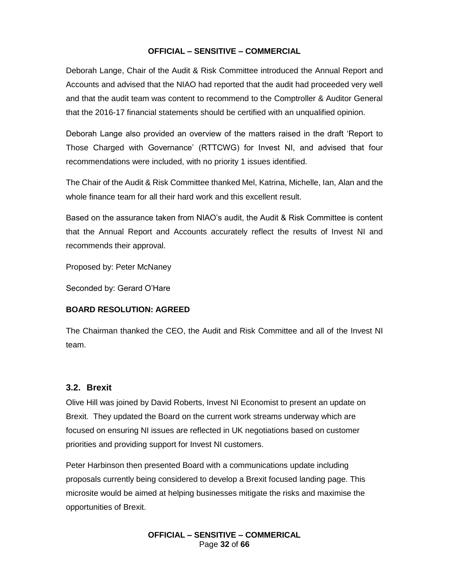Deborah Lange, Chair of the Audit & Risk Committee introduced the Annual Report and Accounts and advised that the NIAO had reported that the audit had proceeded very well and that the audit team was content to recommend to the Comptroller & Auditor General that the 2016-17 financial statements should be certified with an unqualified opinion.

Deborah Lange also provided an overview of the matters raised in the draft 'Report to Those Charged with Governance' (RTTCWG) for Invest NI, and advised that four recommendations were included, with no priority 1 issues identified.

The Chair of the Audit & Risk Committee thanked Mel, Katrina, Michelle, Ian, Alan and the whole finance team for all their hard work and this excellent result.

Based on the assurance taken from NIAO's audit, the Audit & Risk Committee is content that the Annual Report and Accounts accurately reflect the results of Invest NI and recommends their approval.

Proposed by: Peter McNaney

Seconded by: Gerard O'Hare

#### **BOARD RESOLUTION: AGREED**

The Chairman thanked the CEO, the Audit and Risk Committee and all of the Invest NI team.

#### **3.2. Brexit**

Olive Hill was joined by David Roberts, Invest NI Economist to present an update on Brexit. They updated the Board on the current work streams underway which are focused on ensuring NI issues are reflected in UK negotiations based on customer priorities and providing support for Invest NI customers.

Peter Harbinson then presented Board with a communications update including proposals currently being considered to develop a Brexit focused landing page. This microsite would be aimed at helping businesses mitigate the risks and maximise the opportunities of Brexit.

> **OFFICIAL – SENSITIVE – COMMERICAL** Page **32** of **66**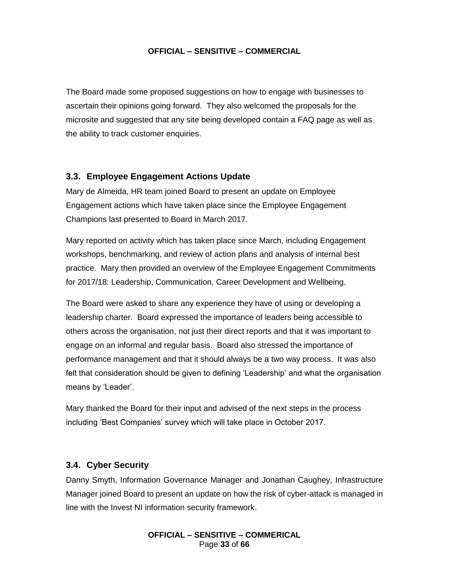The Board made some proposed suggestions on how to engage with businesses to ascertain their opinions going forward. They also welcomed the proposals for the microsite and suggested that any site being developed contain a FAQ page as well as the ability to track customer enquiries.

#### **3.3. Employee Engagement Actions Update**

Mary de Almeida, HR team joined Board to present an update on Employee Engagement actions which have taken place since the Employee Engagement Champions last presented to Board in March 2017.

Mary reported on activity which has taken place since March, including Engagement workshops, benchmarking, and review of action plans and analysis of internal best practice. Mary then provided an overview of the Employee Engagement Commitments for 2017/18: Leadership, Communication, Career Development and Wellbeing.

The Board were asked to share any experience they have of using or developing a leadership charter. Board expressed the importance of leaders being accessible to others across the organisation, not just their direct reports and that it was important to engage on an informal and regular basis. Board also stressed the importance of performance management and that it should always be a two way process. It was also felt that consideration should be given to defining 'Leadership' and what the organisation means by 'Leader'.

Mary thanked the Board for their input and advised of the next steps in the process including 'Best Companies' survey which will take place in October 2017.

#### **3.4. Cyber Security**

Danny Smyth, Information Governance Manager and Jonathan Caughey, Infrastructure Manager joined Board to present an update on how the risk of cyber-attack is managed in line with the Invest NI information security framework.

> **OFFICIAL – SENSITIVE – COMMERICAL** Page **33** of **66**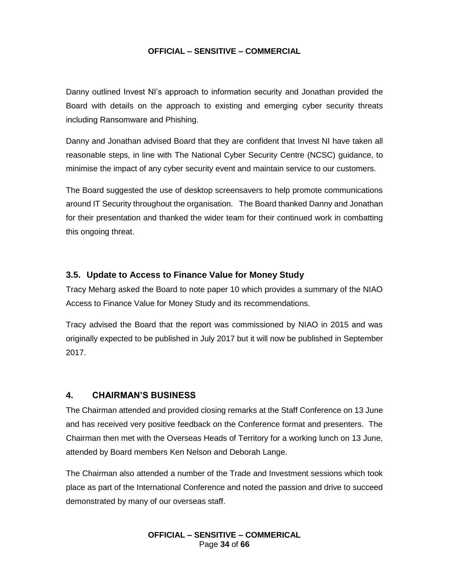Danny outlined Invest NI's approach to information security and Jonathan provided the Board with details on the approach to existing and emerging cyber security threats including Ransomware and Phishing.

Danny and Jonathan advised Board that they are confident that Invest NI have taken all reasonable steps, in line with The National Cyber Security Centre (NCSC) guidance, to minimise the impact of any cyber security event and maintain service to our customers.

The Board suggested the use of desktop screensavers to help promote communications around IT Security throughout the organisation. The Board thanked Danny and Jonathan for their presentation and thanked the wider team for their continued work in combatting this ongoing threat.

#### **3.5. Update to Access to Finance Value for Money Study**

Tracy Meharg asked the Board to note paper 10 which provides a summary of the NIAO Access to Finance Value for Money Study and its recommendations.

Tracy advised the Board that the report was commissioned by NIAO in 2015 and was originally expected to be published in July 2017 but it will now be published in September 2017.

#### **4. CHAIRMAN'S BUSINESS**

The Chairman attended and provided closing remarks at the Staff Conference on 13 June and has received very positive feedback on the Conference format and presenters. The Chairman then met with the Overseas Heads of Territory for a working lunch on 13 June, attended by Board members Ken Nelson and Deborah Lange.

The Chairman also attended a number of the Trade and Investment sessions which took place as part of the International Conference and noted the passion and drive to succeed demonstrated by many of our overseas staff.

> **OFFICIAL – SENSITIVE – COMMERICAL** Page **34** of **66**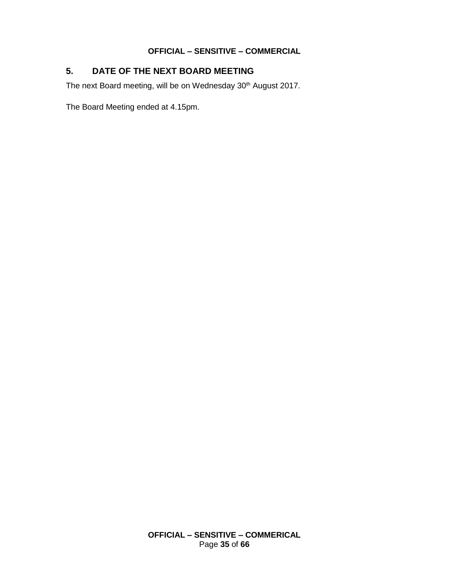## **5. DATE OF THE NEXT BOARD MEETING**

The next Board meeting, will be on Wednesday 30<sup>th</sup> August 2017.

The Board Meeting ended at 4.15pm.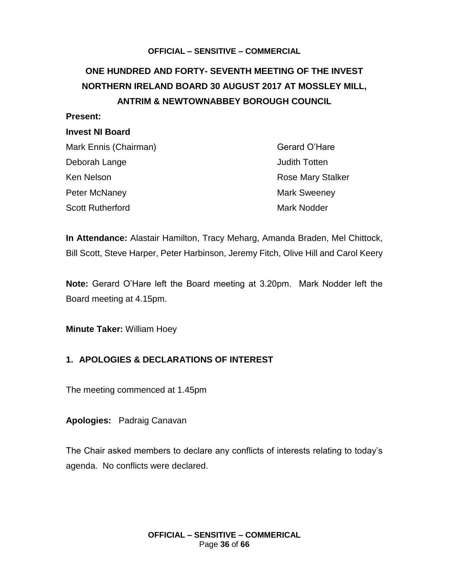## <span id="page-35-0"></span>**ONE HUNDRED AND FORTY- SEVENTH MEETING OF THE INVEST NORTHERN IRELAND BOARD 30 AUGUST 2017 AT MOSSLEY MILL, ANTRIM & NEWTOWNABBEY BOROUGH COUNCIL**

#### **Present:**

#### **Invest NI Board**

| Mark Ennis (Chairman)   | Gerard O'Hare            |  |
|-------------------------|--------------------------|--|
| Deborah Lange           | <b>Judith Totten</b>     |  |
| Ken Nelson              | <b>Rose Mary Stalker</b> |  |
| Peter McNaney           | <b>Mark Sweeney</b>      |  |
| <b>Scott Rutherford</b> | <b>Mark Nodder</b>       |  |

**In Attendance:** Alastair Hamilton, Tracy Meharg, Amanda Braden, Mel Chittock, Bill Scott, Steve Harper, Peter Harbinson, Jeremy Fitch, Olive Hill and Carol Keery

**Note:** Gerard O'Hare left the Board meeting at 3.20pm. Mark Nodder left the Board meeting at 4.15pm.

**Minute Taker:** William Hoey

#### **1. APOLOGIES & DECLARATIONS OF INTEREST**

The meeting commenced at 1.45pm

**Apologies:** Padraig Canavan

The Chair asked members to declare any conflicts of interests relating to today's agenda. No conflicts were declared.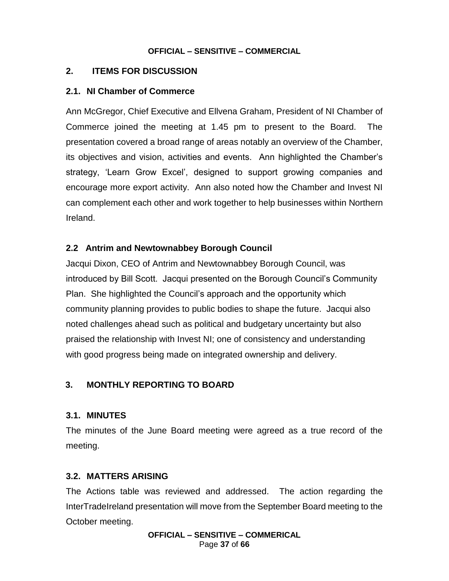## **2. ITEMS FOR DISCUSSION**

## **2.1. NI Chamber of Commerce**

Ann McGregor, Chief Executive and Ellvena Graham, President of NI Chamber of Commerce joined the meeting at 1.45 pm to present to the Board. The presentation covered a broad range of areas notably an overview of the Chamber, its objectives and vision, activities and events. Ann highlighted the Chamber's strategy, 'Learn Grow Excel', designed to support growing companies and encourage more export activity. Ann also noted how the Chamber and Invest NI can complement each other and work together to help businesses within Northern Ireland.

## **2.2 Antrim and Newtownabbey Borough Council**

Jacqui Dixon, CEO of Antrim and Newtownabbey Borough Council, was introduced by Bill Scott. Jacqui presented on the Borough Council's Community Plan. She highlighted the Council's approach and the opportunity which community planning provides to public bodies to shape the future. Jacqui also noted challenges ahead such as political and budgetary uncertainty but also praised the relationship with Invest NI; one of consistency and understanding with good progress being made on integrated ownership and delivery.

## **3. MONTHLY REPORTING TO BOARD**

## **3.1. MINUTES**

The minutes of the June Board meeting were agreed as a true record of the meeting.

## **3.2. MATTERS ARISING**

The Actions table was reviewed and addressed. The action regarding the InterTradeIreland presentation will move from the September Board meeting to the October meeting.

> **OFFICIAL – SENSITIVE – COMMERICAL** Page **37** of **66**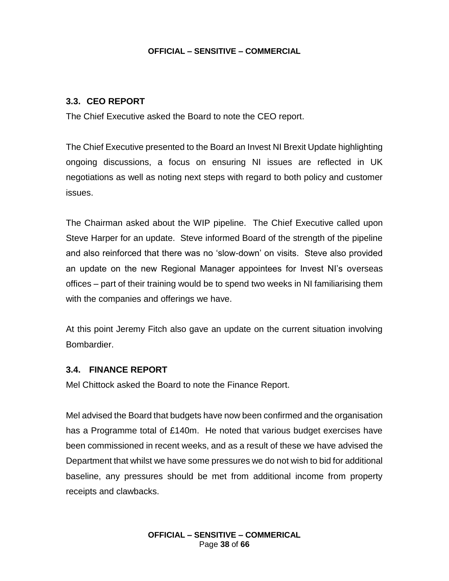## **3.3. CEO REPORT**

The Chief Executive asked the Board to note the CEO report.

The Chief Executive presented to the Board an Invest NI Brexit Update highlighting ongoing discussions, a focus on ensuring NI issues are reflected in UK negotiations as well as noting next steps with regard to both policy and customer issues.

The Chairman asked about the WIP pipeline. The Chief Executive called upon Steve Harper for an update. Steve informed Board of the strength of the pipeline and also reinforced that there was no 'slow-down' on visits. Steve also provided an update on the new Regional Manager appointees for Invest NI's overseas offices – part of their training would be to spend two weeks in NI familiarising them with the companies and offerings we have.

At this point Jeremy Fitch also gave an update on the current situation involving Bombardier.

#### **3.4. FINANCE REPORT**

Mel Chittock asked the Board to note the Finance Report.

Mel advised the Board that budgets have now been confirmed and the organisation has a Programme total of £140m. He noted that various budget exercises have been commissioned in recent weeks, and as a result of these we have advised the Department that whilst we have some pressures we do not wish to bid for additional baseline, any pressures should be met from additional income from property receipts and clawbacks.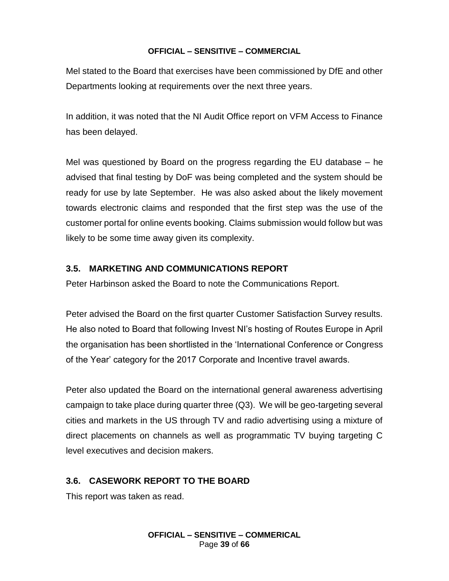Mel stated to the Board that exercises have been commissioned by DfE and other Departments looking at requirements over the next three years.

In addition, it was noted that the NI Audit Office report on VFM Access to Finance has been delayed.

Mel was questioned by Board on the progress regarding the EU database – he advised that final testing by DoF was being completed and the system should be ready for use by late September. He was also asked about the likely movement towards electronic claims and responded that the first step was the use of the customer portal for online events booking. Claims submission would follow but was likely to be some time away given its complexity.

## **3.5. MARKETING AND COMMUNICATIONS REPORT**

Peter Harbinson asked the Board to note the Communications Report.

Peter advised the Board on the first quarter Customer Satisfaction Survey results. He also noted to Board that following Invest NI's hosting of Routes Europe in April the organisation has been shortlisted in the 'International Conference or Congress of the Year' category for the 2017 Corporate and Incentive travel awards.

Peter also updated the Board on the international general awareness advertising campaign to take place during quarter three (Q3). We will be geo-targeting several cities and markets in the US through TV and radio advertising using a mixture of direct placements on channels as well as programmatic TV buying targeting C level executives and decision makers.

## **3.6. CASEWORK REPORT TO THE BOARD**

This report was taken as read.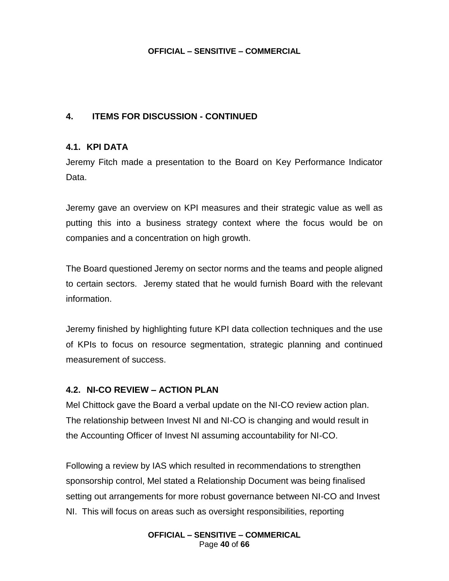## **4. ITEMS FOR DISCUSSION - CONTINUED**

## **4.1. KPI DATA**

Jeremy Fitch made a presentation to the Board on Key Performance Indicator Data.

Jeremy gave an overview on KPI measures and their strategic value as well as putting this into a business strategy context where the focus would be on companies and a concentration on high growth.

The Board questioned Jeremy on sector norms and the teams and people aligned to certain sectors. Jeremy stated that he would furnish Board with the relevant information.

Jeremy finished by highlighting future KPI data collection techniques and the use of KPIs to focus on resource segmentation, strategic planning and continued measurement of success.

## **4.2. NI-CO REVIEW – ACTION PLAN**

Mel Chittock gave the Board a verbal update on the NI-CO review action plan. The relationship between Invest NI and NI-CO is changing and would result in the Accounting Officer of Invest NI assuming accountability for NI-CO.

Following a review by IAS which resulted in recommendations to strengthen sponsorship control, Mel stated a Relationship Document was being finalised setting out arrangements for more robust governance between NI-CO and Invest NI. This will focus on areas such as oversight responsibilities, reporting

> **OFFICIAL – SENSITIVE – COMMERICAL** Page **40** of **66**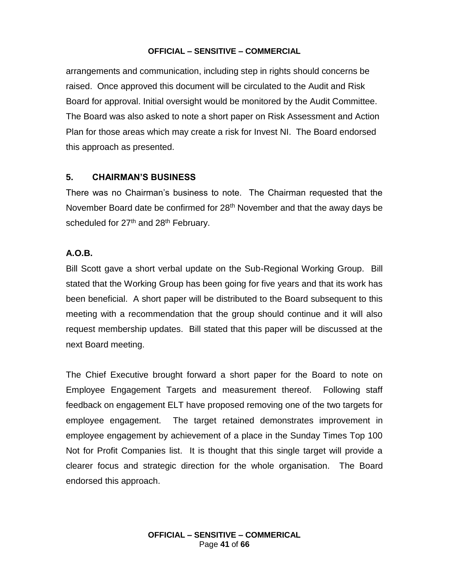arrangements and communication, including step in rights should concerns be raised. Once approved this document will be circulated to the Audit and Risk Board for approval. Initial oversight would be monitored by the Audit Committee. The Board was also asked to note a short paper on Risk Assessment and Action Plan for those areas which may create a risk for Invest NI. The Board endorsed this approach as presented.

## **5. CHAIRMAN'S BUSINESS**

There was no Chairman's business to note. The Chairman requested that the November Board date be confirmed for 28<sup>th</sup> November and that the away days be scheduled for 27<sup>th</sup> and 28<sup>th</sup> February.

## **A.O.B.**

Bill Scott gave a short verbal update on the Sub-Regional Working Group. Bill stated that the Working Group has been going for five years and that its work has been beneficial. A short paper will be distributed to the Board subsequent to this meeting with a recommendation that the group should continue and it will also request membership updates. Bill stated that this paper will be discussed at the next Board meeting.

The Chief Executive brought forward a short paper for the Board to note on Employee Engagement Targets and measurement thereof. Following staff feedback on engagement ELT have proposed removing one of the two targets for employee engagement. The target retained demonstrates improvement in employee engagement by achievement of a place in the Sunday Times Top 100 Not for Profit Companies list. It is thought that this single target will provide a clearer focus and strategic direction for the whole organisation. The Board endorsed this approach.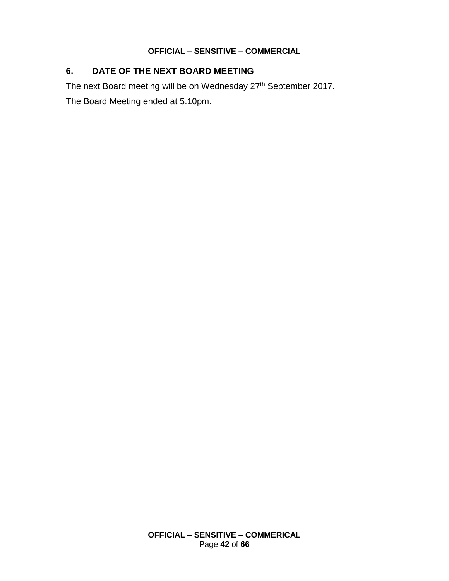## **6. DATE OF THE NEXT BOARD MEETING**

The next Board meeting will be on Wednesday 27<sup>th</sup> September 2017.

The Board Meeting ended at 5.10pm.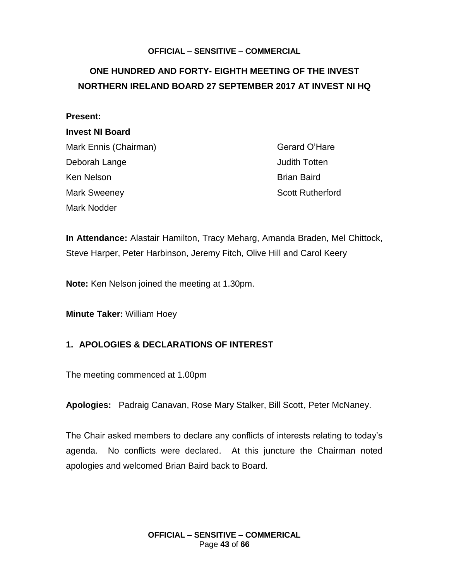## <span id="page-42-0"></span>**ONE HUNDRED AND FORTY- EIGHTH MEETING OF THE INVEST NORTHERN IRELAND BOARD 27 SEPTEMBER 2017 AT INVEST NI HQ**

| <b>Present:</b>        |                         |
|------------------------|-------------------------|
| <b>Invest NI Board</b> |                         |
| Mark Ennis (Chairman)  | Gerard O'Hare           |
| Deborah Lange          | <b>Judith Totten</b>    |
| Ken Nelson             | <b>Brian Baird</b>      |
| <b>Mark Sweeney</b>    | <b>Scott Rutherford</b> |
| Mark Nodder            |                         |

**In Attendance:** Alastair Hamilton, Tracy Meharg, Amanda Braden, Mel Chittock, Steve Harper, Peter Harbinson, Jeremy Fitch, Olive Hill and Carol Keery

**Note:** Ken Nelson joined the meeting at 1.30pm.

**Minute Taker:** William Hoey

## **1. APOLOGIES & DECLARATIONS OF INTEREST**

The meeting commenced at 1.00pm

**Apologies:** Padraig Canavan, Rose Mary Stalker, Bill Scott, Peter McNaney.

The Chair asked members to declare any conflicts of interests relating to today's agenda. No conflicts were declared. At this juncture the Chairman noted apologies and welcomed Brian Baird back to Board.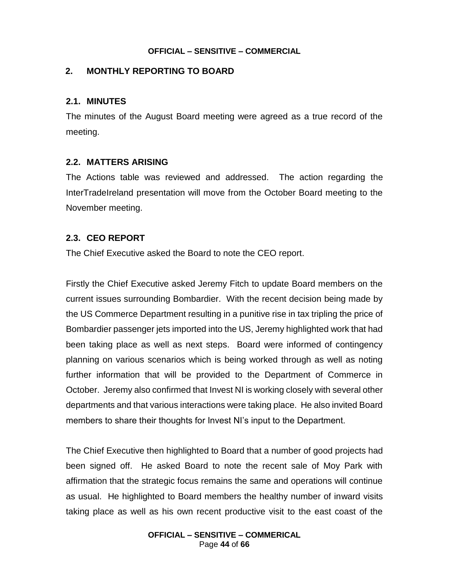## **2. MONTHLY REPORTING TO BOARD**

#### **2.1. MINUTES**

The minutes of the August Board meeting were agreed as a true record of the meeting.

#### **2.2. MATTERS ARISING**

The Actions table was reviewed and addressed. The action regarding the InterTradeIreland presentation will move from the October Board meeting to the November meeting.

## **2.3. CEO REPORT**

The Chief Executive asked the Board to note the CEO report.

Firstly the Chief Executive asked Jeremy Fitch to update Board members on the current issues surrounding Bombardier. With the recent decision being made by the US Commerce Department resulting in a punitive rise in tax tripling the price of Bombardier passenger jets imported into the US, Jeremy highlighted work that had been taking place as well as next steps. Board were informed of contingency planning on various scenarios which is being worked through as well as noting further information that will be provided to the Department of Commerce in October. Jeremy also confirmed that Invest NI is working closely with several other departments and that various interactions were taking place. He also invited Board members to share their thoughts for Invest NI's input to the Department.

The Chief Executive then highlighted to Board that a number of good projects had been signed off. He asked Board to note the recent sale of Moy Park with affirmation that the strategic focus remains the same and operations will continue as usual. He highlighted to Board members the healthy number of inward visits taking place as well as his own recent productive visit to the east coast of the

> **OFFICIAL – SENSITIVE – COMMERICAL** Page **44** of **66**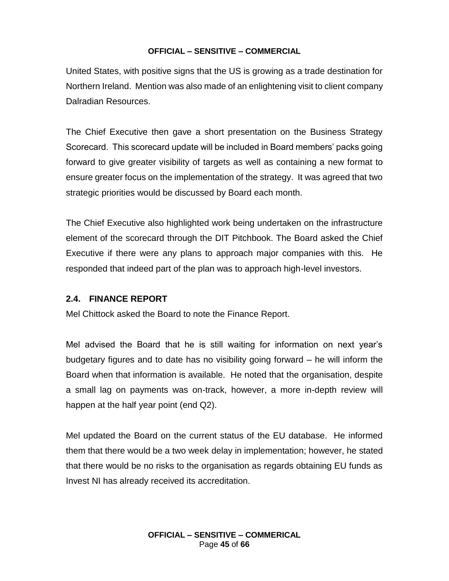United States, with positive signs that the US is growing as a trade destination for Northern Ireland. Mention was also made of an enlightening visit to client company Dalradian Resources.

The Chief Executive then gave a short presentation on the Business Strategy Scorecard. This scorecard update will be included in Board members' packs going forward to give greater visibility of targets as well as containing a new format to ensure greater focus on the implementation of the strategy. It was agreed that two strategic priorities would be discussed by Board each month.

The Chief Executive also highlighted work being undertaken on the infrastructure element of the scorecard through the DIT Pitchbook. The Board asked the Chief Executive if there were any plans to approach major companies with this. He responded that indeed part of the plan was to approach high-level investors.

## **2.4. FINANCE REPORT**

Mel Chittock asked the Board to note the Finance Report.

Mel advised the Board that he is still waiting for information on next year's budgetary figures and to date has no visibility going forward – he will inform the Board when that information is available. He noted that the organisation, despite a small lag on payments was on-track, however, a more in-depth review will happen at the half year point (end Q2).

Mel updated the Board on the current status of the EU database. He informed them that there would be a two week delay in implementation; however, he stated that there would be no risks to the organisation as regards obtaining EU funds as Invest NI has already received its accreditation.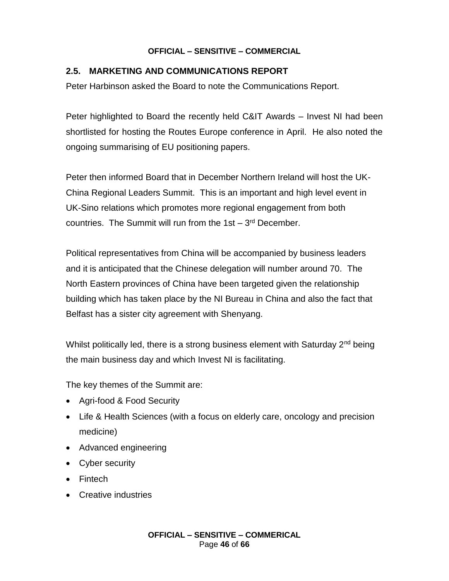## **2.5. MARKETING AND COMMUNICATIONS REPORT**

Peter Harbinson asked the Board to note the Communications Report.

Peter highlighted to Board the recently held C&IT Awards – Invest NI had been shortlisted for hosting the Routes Europe conference in April. He also noted the ongoing summarising of EU positioning papers.

Peter then informed Board that in December Northern Ireland will host the UK-China Regional Leaders Summit. This is an important and high level event in UK-Sino relations which promotes more regional engagement from both countries. The Summit will run from the  $1st - 3<sup>rd</sup>$  December.

Political representatives from China will be accompanied by business leaders and it is anticipated that the Chinese delegation will number around 70. The North Eastern provinces of China have been targeted given the relationship building which has taken place by the NI Bureau in China and also the fact that Belfast has a sister city agreement with Shenyang.

Whilst politically led, there is a strong business element with Saturday 2<sup>nd</sup> being the main business day and which Invest NI is facilitating.

The key themes of the Summit are:

- Agri-food & Food Security
- Life & Health Sciences (with a focus on elderly care, oncology and precision medicine)
- Advanced engineering
- Cyber security
- Fintech
- Creative industries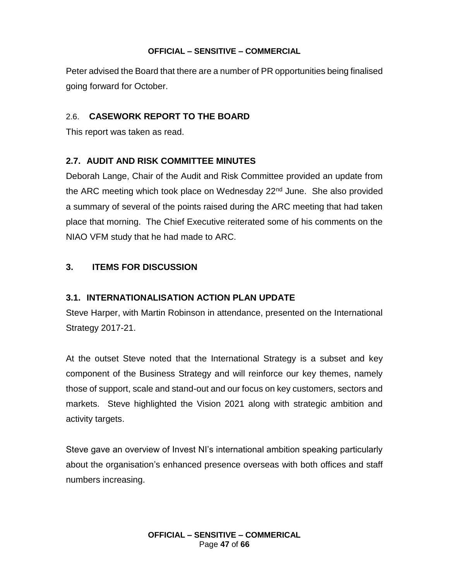Peter advised the Board that there are a number of PR opportunities being finalised going forward for October.

## 2.6. **CASEWORK REPORT TO THE BOARD**

This report was taken as read.

## **2.7. AUDIT AND RISK COMMITTEE MINUTES**

Deborah Lange, Chair of the Audit and Risk Committee provided an update from the ARC meeting which took place on Wednesday  $22<sup>nd</sup>$  June. She also provided a summary of several of the points raised during the ARC meeting that had taken place that morning. The Chief Executive reiterated some of his comments on the NIAO VFM study that he had made to ARC.

## **3. ITEMS FOR DISCUSSION**

## **3.1. INTERNATIONALISATION ACTION PLAN UPDATE**

Steve Harper, with Martin Robinson in attendance, presented on the International Strategy 2017-21.

At the outset Steve noted that the International Strategy is a subset and key component of the Business Strategy and will reinforce our key themes, namely those of support, scale and stand-out and our focus on key customers, sectors and markets. Steve highlighted the Vision 2021 along with strategic ambition and activity targets.

Steve gave an overview of Invest NI's international ambition speaking particularly about the organisation's enhanced presence overseas with both offices and staff numbers increasing.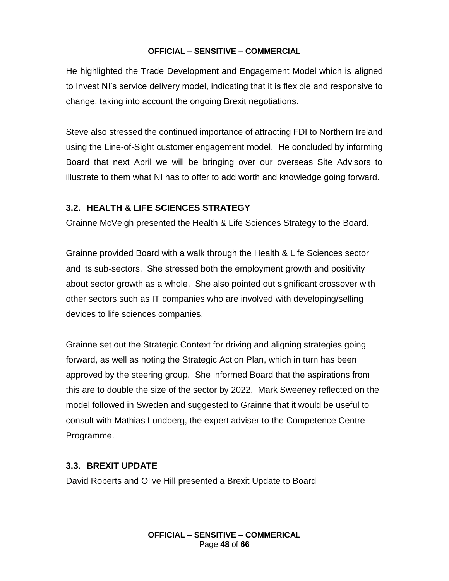He highlighted the Trade Development and Engagement Model which is aligned to Invest NI's service delivery model, indicating that it is flexible and responsive to change, taking into account the ongoing Brexit negotiations.

Steve also stressed the continued importance of attracting FDI to Northern Ireland using the Line-of-Sight customer engagement model. He concluded by informing Board that next April we will be bringing over our overseas Site Advisors to illustrate to them what NI has to offer to add worth and knowledge going forward.

## **3.2. HEALTH & LIFE SCIENCES STRATEGY**

Grainne McVeigh presented the Health & Life Sciences Strategy to the Board.

Grainne provided Board with a walk through the Health & Life Sciences sector and its sub-sectors. She stressed both the employment growth and positivity about sector growth as a whole. She also pointed out significant crossover with other sectors such as IT companies who are involved with developing/selling devices to life sciences companies.

Grainne set out the Strategic Context for driving and aligning strategies going forward, as well as noting the Strategic Action Plan, which in turn has been approved by the steering group. She informed Board that the aspirations from this are to double the size of the sector by 2022. Mark Sweeney reflected on the model followed in Sweden and suggested to Grainne that it would be useful to consult with Mathias Lundberg, the expert adviser to the Competence Centre Programme.

## **3.3. BREXIT UPDATE**

David Roberts and Olive Hill presented a Brexit Update to Board

**OFFICIAL – SENSITIVE – COMMERICAL** Page **48** of **66**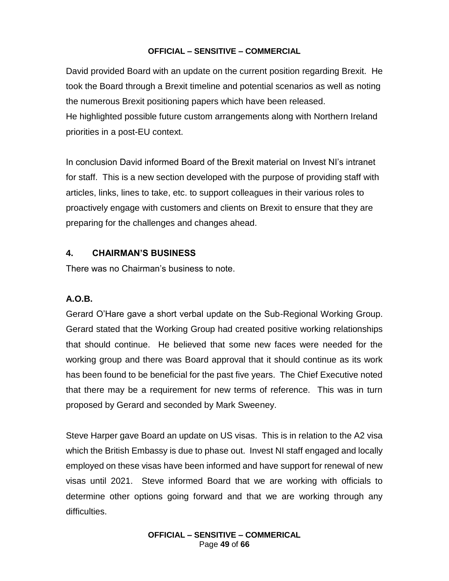David provided Board with an update on the current position regarding Brexit. He took the Board through a Brexit timeline and potential scenarios as well as noting the numerous Brexit positioning papers which have been released. He highlighted possible future custom arrangements along with Northern Ireland priorities in a post-EU context.

In conclusion David informed Board of the Brexit material on Invest NI's intranet for staff. This is a new section developed with the purpose of providing staff with articles, links, lines to take, etc. to support colleagues in their various roles to proactively engage with customers and clients on Brexit to ensure that they are preparing for the challenges and changes ahead.

## **4. CHAIRMAN'S BUSINESS**

There was no Chairman's business to note.

## **A.O.B.**

Gerard O'Hare gave a short verbal update on the Sub-Regional Working Group. Gerard stated that the Working Group had created positive working relationships that should continue. He believed that some new faces were needed for the working group and there was Board approval that it should continue as its work has been found to be beneficial for the past five years. The Chief Executive noted that there may be a requirement for new terms of reference. This was in turn proposed by Gerard and seconded by Mark Sweeney.

Steve Harper gave Board an update on US visas. This is in relation to the A2 visa which the British Embassy is due to phase out. Invest NI staff engaged and locally employed on these visas have been informed and have support for renewal of new visas until 2021. Steve informed Board that we are working with officials to determine other options going forward and that we are working through any difficulties.

> **OFFICIAL – SENSITIVE – COMMERICAL** Page **49** of **66**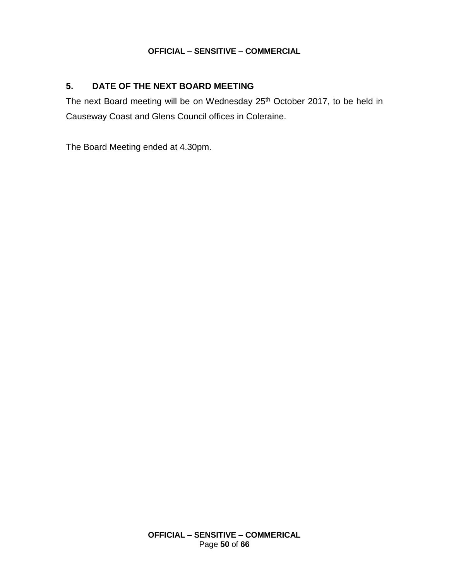## **5. DATE OF THE NEXT BOARD MEETING**

The next Board meeting will be on Wednesday 25<sup>th</sup> October 2017, to be held in Causeway Coast and Glens Council offices in Coleraine.

The Board Meeting ended at 4.30pm.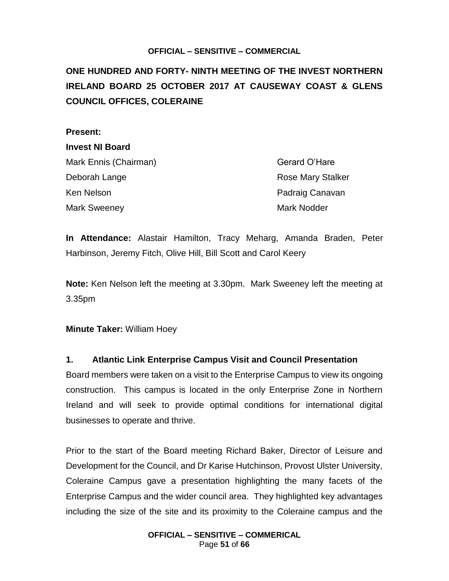<span id="page-50-0"></span>**ONE HUNDRED AND FORTY- NINTH MEETING OF THE INVEST NORTHERN IRELAND BOARD 25 OCTOBER 2017 AT CAUSEWAY COAST & GLENS COUNCIL OFFICES, COLERAINE** 

#### **Present:**

# **Invest NI Board**

Mark Ennis (Chairman) Gerard O'Hare Deborah Lange **Rose Mary Stalker** Rose Mary Stalker Ken Nelson Padraig Canavan Mark Sweeney **Mark Sweeney** Mark Nodder

**In Attendance:** Alastair Hamilton, Tracy Meharg, Amanda Braden, Peter Harbinson, Jeremy Fitch, Olive Hill, Bill Scott and Carol Keery

**Note:** Ken Nelson left the meeting at 3.30pm. Mark Sweeney left the meeting at 3.35pm

**Minute Taker:** William Hoey

## **1. Atlantic Link Enterprise Campus Visit and Council Presentation**

Board members were taken on a visit to the Enterprise Campus to view its ongoing construction. This campus is located in the only Enterprise Zone in Northern Ireland and will seek to provide optimal conditions for international digital businesses to operate and thrive.

Prior to the start of the Board meeting Richard Baker, Director of Leisure and Development for the Council, and Dr Karise Hutchinson, Provost Ulster University, Coleraine Campus gave a presentation highlighting the many facets of the Enterprise Campus and the wider council area. They highlighted key advantages including the size of the site and its proximity to the Coleraine campus and the

> **OFFICIAL – SENSITIVE – COMMERICAL** Page **51** of **66**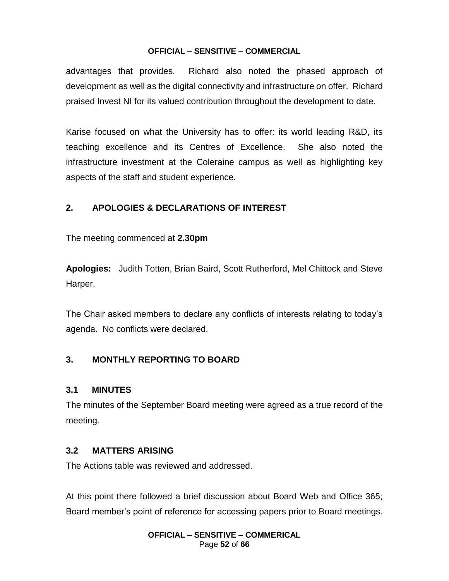advantages that provides. Richard also noted the phased approach of development as well as the digital connectivity and infrastructure on offer. Richard praised Invest NI for its valued contribution throughout the development to date.

Karise focused on what the University has to offer: its world leading R&D, its teaching excellence and its Centres of Excellence. She also noted the infrastructure investment at the Coleraine campus as well as highlighting key aspects of the staff and student experience.

## **2. APOLOGIES & DECLARATIONS OF INTEREST**

The meeting commenced at **2.30pm**

**Apologies:** Judith Totten, Brian Baird, Scott Rutherford, Mel Chittock and Steve Harper.

The Chair asked members to declare any conflicts of interests relating to today's agenda. No conflicts were declared.

## **3. MONTHLY REPORTING TO BOARD**

## **3.1 MINUTES**

The minutes of the September Board meeting were agreed as a true record of the meeting.

## **3.2 MATTERS ARISING**

The Actions table was reviewed and addressed.

At this point there followed a brief discussion about Board Web and Office 365; Board member's point of reference for accessing papers prior to Board meetings.

> **OFFICIAL – SENSITIVE – COMMERICAL** Page **52** of **66**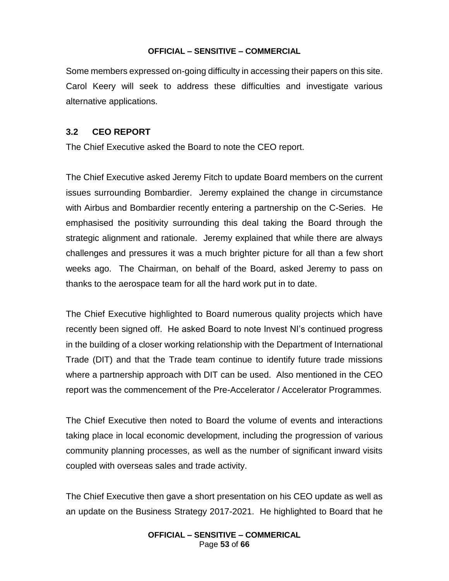Some members expressed on-going difficulty in accessing their papers on this site. Carol Keery will seek to address these difficulties and investigate various alternative applications.

#### **3.2 CEO REPORT**

The Chief Executive asked the Board to note the CEO report.

The Chief Executive asked Jeremy Fitch to update Board members on the current issues surrounding Bombardier. Jeremy explained the change in circumstance with Airbus and Bombardier recently entering a partnership on the C-Series. He emphasised the positivity surrounding this deal taking the Board through the strategic alignment and rationale. Jeremy explained that while there are always challenges and pressures it was a much brighter picture for all than a few short weeks ago. The Chairman, on behalf of the Board, asked Jeremy to pass on thanks to the aerospace team for all the hard work put in to date.

The Chief Executive highlighted to Board numerous quality projects which have recently been signed off. He asked Board to note Invest NI's continued progress in the building of a closer working relationship with the Department of International Trade (DIT) and that the Trade team continue to identify future trade missions where a partnership approach with DIT can be used. Also mentioned in the CEO report was the commencement of the Pre-Accelerator / Accelerator Programmes.

The Chief Executive then noted to Board the volume of events and interactions taking place in local economic development, including the progression of various community planning processes, as well as the number of significant inward visits coupled with overseas sales and trade activity.

The Chief Executive then gave a short presentation on his CEO update as well as an update on the Business Strategy 2017-2021. He highlighted to Board that he

> **OFFICIAL – SENSITIVE – COMMERICAL** Page **53** of **66**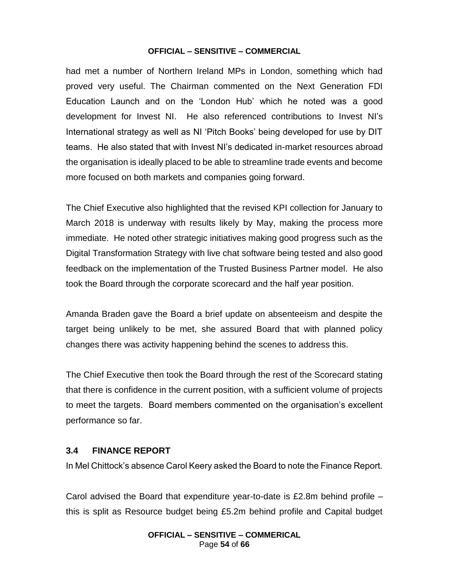had met a number of Northern Ireland MPs in London, something which had proved very useful. The Chairman commented on the Next Generation FDI Education Launch and on the 'London Hub' which he noted was a good development for Invest NI. He also referenced contributions to Invest NI's International strategy as well as NI 'Pitch Books' being developed for use by DIT teams. He also stated that with Invest NI's dedicated in-market resources abroad the organisation is ideally placed to be able to streamline trade events and become more focused on both markets and companies going forward.

The Chief Executive also highlighted that the revised KPI collection for January to March 2018 is underway with results likely by May, making the process more immediate. He noted other strategic initiatives making good progress such as the Digital Transformation Strategy with live chat software being tested and also good feedback on the implementation of the Trusted Business Partner model. He also took the Board through the corporate scorecard and the half year position.

Amanda Braden gave the Board a brief update on absenteeism and despite the target being unlikely to be met, she assured Board that with planned policy changes there was activity happening behind the scenes to address this.

The Chief Executive then took the Board through the rest of the Scorecard stating that there is confidence in the current position, with a sufficient volume of projects to meet the targets. Board members commented on the organisation's excellent performance so far.

## **3.4 FINANCE REPORT**

In Mel Chittock's absence Carol Keery asked the Board to note the Finance Report.

Carol advised the Board that expenditure year-to-date is £2.8m behind profile – this is split as Resource budget being £5.2m behind profile and Capital budget

> **OFFICIAL – SENSITIVE – COMMERICAL** Page **54** of **66**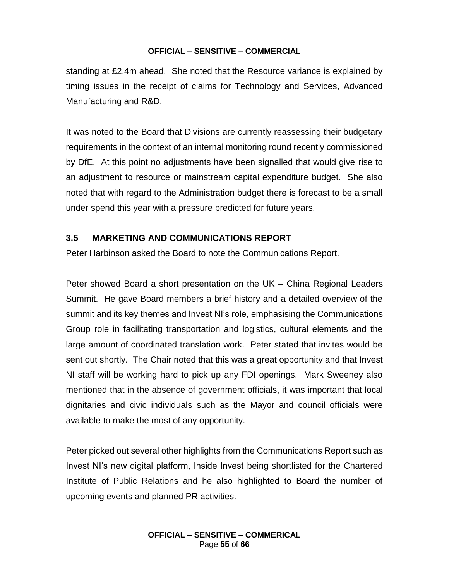standing at £2.4m ahead. She noted that the Resource variance is explained by timing issues in the receipt of claims for Technology and Services, Advanced Manufacturing and R&D.

It was noted to the Board that Divisions are currently reassessing their budgetary requirements in the context of an internal monitoring round recently commissioned by DfE. At this point no adjustments have been signalled that would give rise to an adjustment to resource or mainstream capital expenditure budget. She also noted that with regard to the Administration budget there is forecast to be a small under spend this year with a pressure predicted for future years.

## **3.5 MARKETING AND COMMUNICATIONS REPORT**

Peter Harbinson asked the Board to note the Communications Report.

Peter showed Board a short presentation on the UK – China Regional Leaders Summit. He gave Board members a brief history and a detailed overview of the summit and its key themes and Invest NI's role, emphasising the Communications Group role in facilitating transportation and logistics, cultural elements and the large amount of coordinated translation work. Peter stated that invites would be sent out shortly. The Chair noted that this was a great opportunity and that Invest NI staff will be working hard to pick up any FDI openings. Mark Sweeney also mentioned that in the absence of government officials, it was important that local dignitaries and civic individuals such as the Mayor and council officials were available to make the most of any opportunity.

Peter picked out several other highlights from the Communications Report such as Invest NI's new digital platform, Inside Invest being shortlisted for the Chartered Institute of Public Relations and he also highlighted to Board the number of upcoming events and planned PR activities.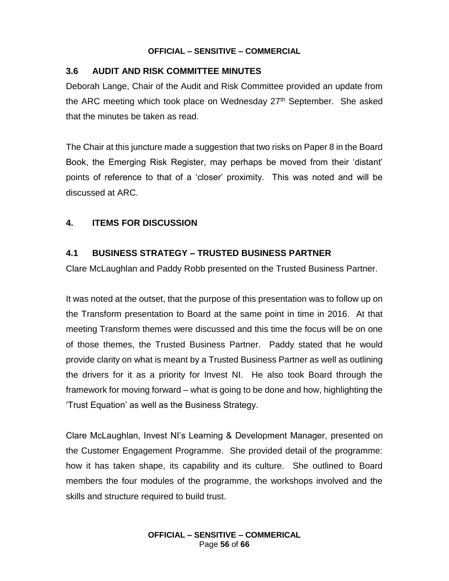## **3.6 AUDIT AND RISK COMMITTEE MINUTES**

Deborah Lange, Chair of the Audit and Risk Committee provided an update from the ARC meeting which took place on Wednesday  $27<sup>th</sup>$  September. She asked that the minutes be taken as read.

The Chair at this juncture made a suggestion that two risks on Paper 8 in the Board Book, the Emerging Risk Register, may perhaps be moved from their 'distant' points of reference to that of a 'closer' proximity. This was noted and will be discussed at ARC.

## **4. ITEMS FOR DISCUSSION**

## **4.1 BUSINESS STRATEGY – TRUSTED BUSINESS PARTNER**

Clare McLaughlan and Paddy Robb presented on the Trusted Business Partner.

It was noted at the outset, that the purpose of this presentation was to follow up on the Transform presentation to Board at the same point in time in 2016. At that meeting Transform themes were discussed and this time the focus will be on one of those themes, the Trusted Business Partner. Paddy stated that he would provide clarity on what is meant by a Trusted Business Partner as well as outlining the drivers for it as a priority for Invest NI. He also took Board through the framework for moving forward – what is going to be done and how, highlighting the 'Trust Equation' as well as the Business Strategy.

Clare McLaughlan, Invest NI's Learning & Development Manager, presented on the Customer Engagement Programme. She provided detail of the programme: how it has taken shape, its capability and its culture. She outlined to Board members the four modules of the programme, the workshops involved and the skills and structure required to build trust.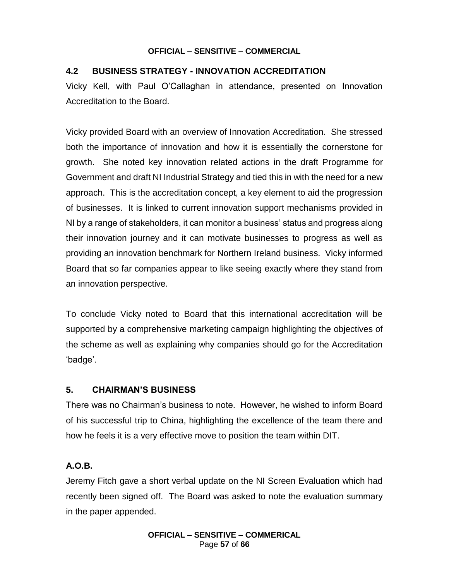## **4.2 BUSINESS STRATEGY - INNOVATION ACCREDITATION**

Vicky Kell, with Paul O'Callaghan in attendance, presented on Innovation Accreditation to the Board.

Vicky provided Board with an overview of Innovation Accreditation. She stressed both the importance of innovation and how it is essentially the cornerstone for growth. She noted key innovation related actions in the draft Programme for Government and draft NI Industrial Strategy and tied this in with the need for a new approach. This is the accreditation concept, a key element to aid the progression of businesses. It is linked to current innovation support mechanisms provided in NI by a range of stakeholders, it can monitor a business' status and progress along their innovation journey and it can motivate businesses to progress as well as providing an innovation benchmark for Northern Ireland business. Vicky informed Board that so far companies appear to like seeing exactly where they stand from an innovation perspective.

To conclude Vicky noted to Board that this international accreditation will be supported by a comprehensive marketing campaign highlighting the objectives of the scheme as well as explaining why companies should go for the Accreditation 'badge'.

## **5. CHAIRMAN'S BUSINESS**

There was no Chairman's business to note. However, he wished to inform Board of his successful trip to China, highlighting the excellence of the team there and how he feels it is a very effective move to position the team within DIT.

## **A.O.B.**

Jeremy Fitch gave a short verbal update on the NI Screen Evaluation which had recently been signed off. The Board was asked to note the evaluation summary in the paper appended.

> **OFFICIAL – SENSITIVE – COMMERICAL** Page **57** of **66**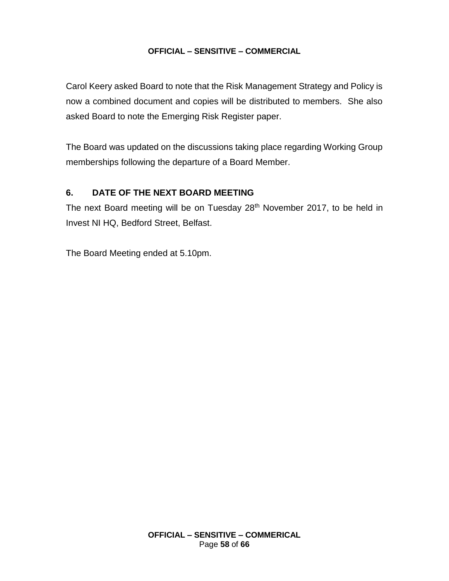Carol Keery asked Board to note that the Risk Management Strategy and Policy is now a combined document and copies will be distributed to members. She also asked Board to note the Emerging Risk Register paper.

The Board was updated on the discussions taking place regarding Working Group memberships following the departure of a Board Member.

## **6. DATE OF THE NEXT BOARD MEETING**

The next Board meeting will be on Tuesday 28<sup>th</sup> November 2017, to be held in Invest NI HQ, Bedford Street, Belfast.

The Board Meeting ended at 5.10pm.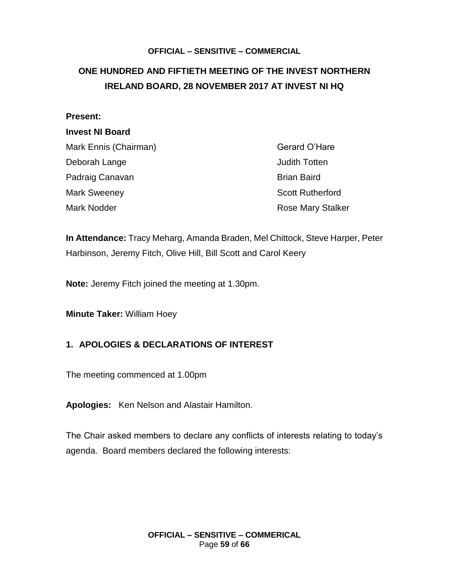## <span id="page-58-0"></span>**ONE HUNDRED AND FIFTIETH MEETING OF THE INVEST NORTHERN IRELAND BOARD, 28 NOVEMBER 2017 AT INVEST NI HQ**

#### **Present:**

#### **Invest NI Board**

| Mark Ennis (Chairman) |  |
|-----------------------|--|
| Deborah Lange         |  |
| Padraig Canavan       |  |
| <b>Mark Sweeney</b>   |  |
| Mark Noddor           |  |

Gerard O'Hare **Judith Totten Brian Baird Scott Rutherford** Mark Nodder **Mark Nodder Rose Mary Stalker** 

**In Attendance:** Tracy Meharg, Amanda Braden, Mel Chittock, Steve Harper, Peter Harbinson, Jeremy Fitch, Olive Hill, Bill Scott and Carol Keery

**Note:** Jeremy Fitch joined the meeting at 1.30pm.

**Minute Taker:** William Hoey

## **1. APOLOGIES & DECLARATIONS OF INTEREST**

The meeting commenced at 1.00pm

**Apologies:** Ken Nelson and Alastair Hamilton.

The Chair asked members to declare any conflicts of interests relating to today's agenda. Board members declared the following interests: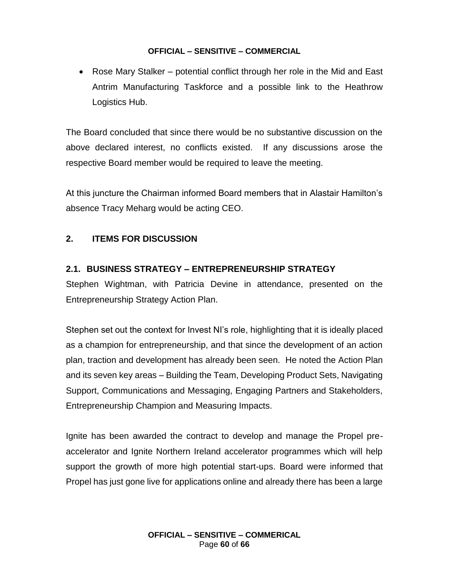• Rose Mary Stalker – potential conflict through her role in the Mid and East Antrim Manufacturing Taskforce and a possible link to the Heathrow Logistics Hub.

The Board concluded that since there would be no substantive discussion on the above declared interest, no conflicts existed. If any discussions arose the respective Board member would be required to leave the meeting.

At this juncture the Chairman informed Board members that in Alastair Hamilton's absence Tracy Meharg would be acting CEO.

## **2. ITEMS FOR DISCUSSION**

## **2.1. BUSINESS STRATEGY – ENTREPRENEURSHIP STRATEGY**

Stephen Wightman, with Patricia Devine in attendance, presented on the Entrepreneurship Strategy Action Plan.

Stephen set out the context for Invest NI's role, highlighting that it is ideally placed as a champion for entrepreneurship, and that since the development of an action plan, traction and development has already been seen. He noted the Action Plan and its seven key areas – Building the Team, Developing Product Sets, Navigating Support, Communications and Messaging, Engaging Partners and Stakeholders, Entrepreneurship Champion and Measuring Impacts.

Ignite has been awarded the contract to develop and manage the Propel preaccelerator and Ignite Northern Ireland accelerator programmes which will help support the growth of more high potential start-ups. Board were informed that Propel has just gone live for applications online and already there has been a large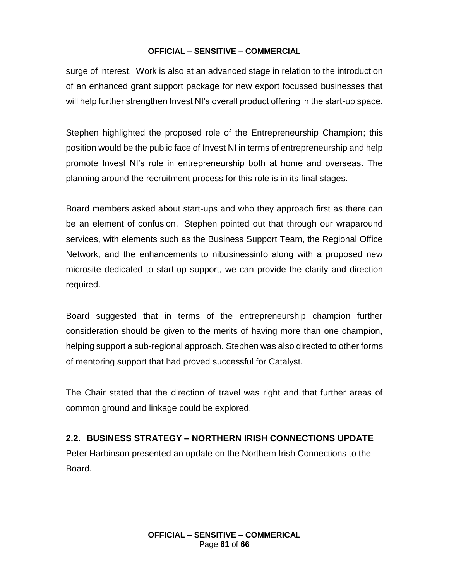surge of interest. Work is also at an advanced stage in relation to the introduction of an enhanced grant support package for new export focussed businesses that will help further strengthen Invest NI's overall product offering in the start-up space.

Stephen highlighted the proposed role of the Entrepreneurship Champion; this position would be the public face of Invest NI in terms of entrepreneurship and help promote Invest NI's role in entrepreneurship both at home and overseas. The planning around the recruitment process for this role is in its final stages.

Board members asked about start-ups and who they approach first as there can be an element of confusion. Stephen pointed out that through our wraparound services, with elements such as the Business Support Team, the Regional Office Network, and the enhancements to nibusinessinfo along with a proposed new microsite dedicated to start-up support, we can provide the clarity and direction required.

Board suggested that in terms of the entrepreneurship champion further consideration should be given to the merits of having more than one champion, helping support a sub-regional approach. Stephen was also directed to other forms of mentoring support that had proved successful for Catalyst.

The Chair stated that the direction of travel was right and that further areas of common ground and linkage could be explored.

## **2.2. BUSINESS STRATEGY – NORTHERN IRISH CONNECTIONS UPDATE**

Peter Harbinson presented an update on the Northern Irish Connections to the Board.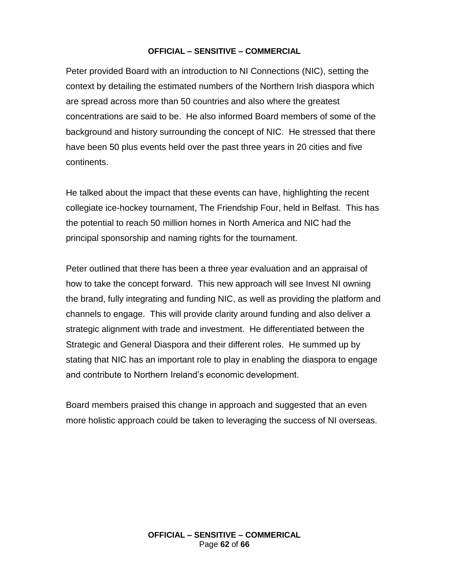Peter provided Board with an introduction to NI Connections (NIC), setting the context by detailing the estimated numbers of the Northern Irish diaspora which are spread across more than 50 countries and also where the greatest concentrations are said to be. He also informed Board members of some of the background and history surrounding the concept of NIC. He stressed that there have been 50 plus events held over the past three years in 20 cities and five continents.

He talked about the impact that these events can have, highlighting the recent collegiate ice-hockey tournament, The Friendship Four, held in Belfast. This has the potential to reach 50 million homes in North America and NIC had the principal sponsorship and naming rights for the tournament.

Peter outlined that there has been a three year evaluation and an appraisal of how to take the concept forward. This new approach will see Invest NI owning the brand, fully integrating and funding NIC, as well as providing the platform and channels to engage. This will provide clarity around funding and also deliver a strategic alignment with trade and investment. He differentiated between the Strategic and General Diaspora and their different roles. He summed up by stating that NIC has an important role to play in enabling the diaspora to engage and contribute to Northern Ireland's economic development.

Board members praised this change in approach and suggested that an even more holistic approach could be taken to leveraging the success of NI overseas.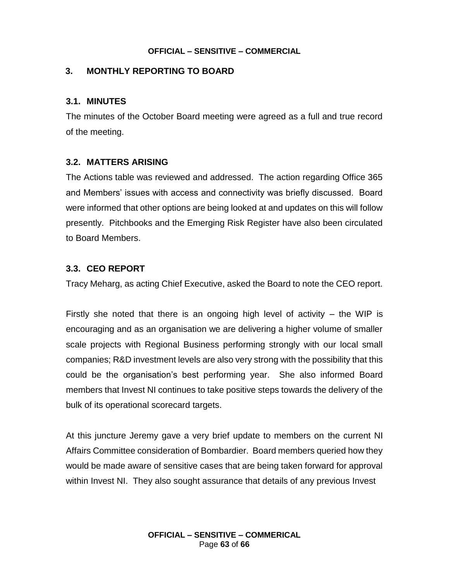## **3. MONTHLY REPORTING TO BOARD**

#### **3.1. MINUTES**

The minutes of the October Board meeting were agreed as a full and true record of the meeting.

## **3.2. MATTERS ARISING**

The Actions table was reviewed and addressed. The action regarding Office 365 and Members' issues with access and connectivity was briefly discussed. Board were informed that other options are being looked at and updates on this will follow presently. Pitchbooks and the Emerging Risk Register have also been circulated to Board Members.

## **3.3. CEO REPORT**

Tracy Meharg, as acting Chief Executive, asked the Board to note the CEO report.

Firstly she noted that there is an ongoing high level of activity  $-$  the WIP is encouraging and as an organisation we are delivering a higher volume of smaller scale projects with Regional Business performing strongly with our local small companies; R&D investment levels are also very strong with the possibility that this could be the organisation's best performing year. She also informed Board members that Invest NI continues to take positive steps towards the delivery of the bulk of its operational scorecard targets.

At this juncture Jeremy gave a very brief update to members on the current NI Affairs Committee consideration of Bombardier. Board members queried how they would be made aware of sensitive cases that are being taken forward for approval within Invest NI. They also sought assurance that details of any previous Invest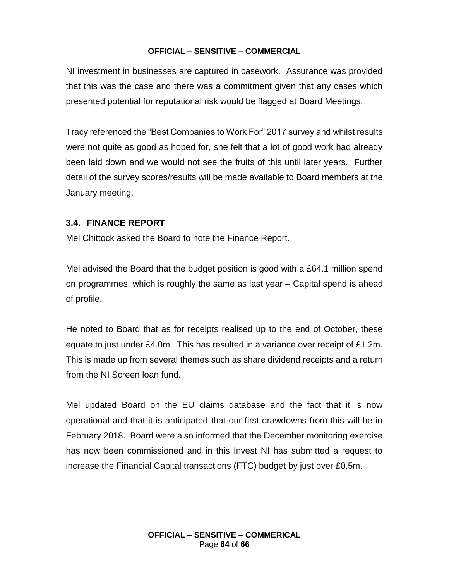NI investment in businesses are captured in casework. Assurance was provided that this was the case and there was a commitment given that any cases which presented potential for reputational risk would be flagged at Board Meetings.

Tracy referenced the "Best Companies to Work For" 2017 survey and whilst results were not quite as good as hoped for, she felt that a lot of good work had already been laid down and we would not see the fruits of this until later years. Further detail of the survey scores/results will be made available to Board members at the January meeting.

#### **3.4. FINANCE REPORT**

Mel Chittock asked the Board to note the Finance Report.

Mel advised the Board that the budget position is good with a £64.1 million spend on programmes, which is roughly the same as last year – Capital spend is ahead of profile.

He noted to Board that as for receipts realised up to the end of October, these equate to just under £4.0m. This has resulted in a variance over receipt of £1.2m. This is made up from several themes such as share dividend receipts and a return from the NI Screen loan fund.

Mel updated Board on the EU claims database and the fact that it is now operational and that it is anticipated that our first drawdowns from this will be in February 2018. Board were also informed that the December monitoring exercise has now been commissioned and in this Invest NI has submitted a request to increase the Financial Capital transactions (FTC) budget by just over £0.5m.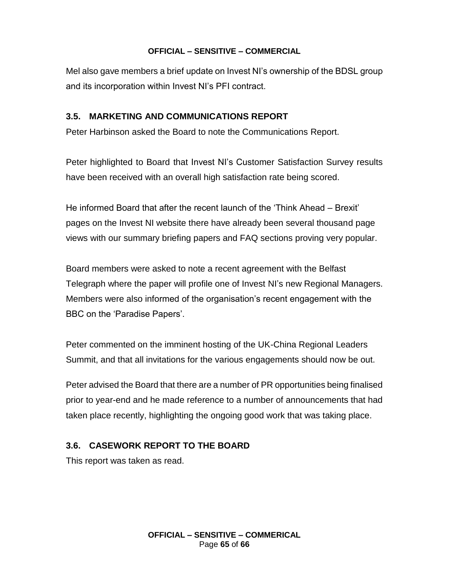Mel also gave members a brief update on Invest NI's ownership of the BDSL group and its incorporation within Invest NI's PFI contract.

## **3.5. MARKETING AND COMMUNICATIONS REPORT**

Peter Harbinson asked the Board to note the Communications Report.

Peter highlighted to Board that Invest NI's Customer Satisfaction Survey results have been received with an overall high satisfaction rate being scored.

He informed Board that after the recent launch of the 'Think Ahead – Brexit' pages on the Invest NI website there have already been several thousand page views with our summary briefing papers and FAQ sections proving very popular.

Board members were asked to note a recent agreement with the Belfast Telegraph where the paper will profile one of Invest NI's new Regional Managers. Members were also informed of the organisation's recent engagement with the BBC on the 'Paradise Papers'.

Peter commented on the imminent hosting of the UK-China Regional Leaders Summit, and that all invitations for the various engagements should now be out.

Peter advised the Board that there are a number of PR opportunities being finalised prior to year-end and he made reference to a number of announcements that had taken place recently, highlighting the ongoing good work that was taking place.

## **3.6. CASEWORK REPORT TO THE BOARD**

This report was taken as read.